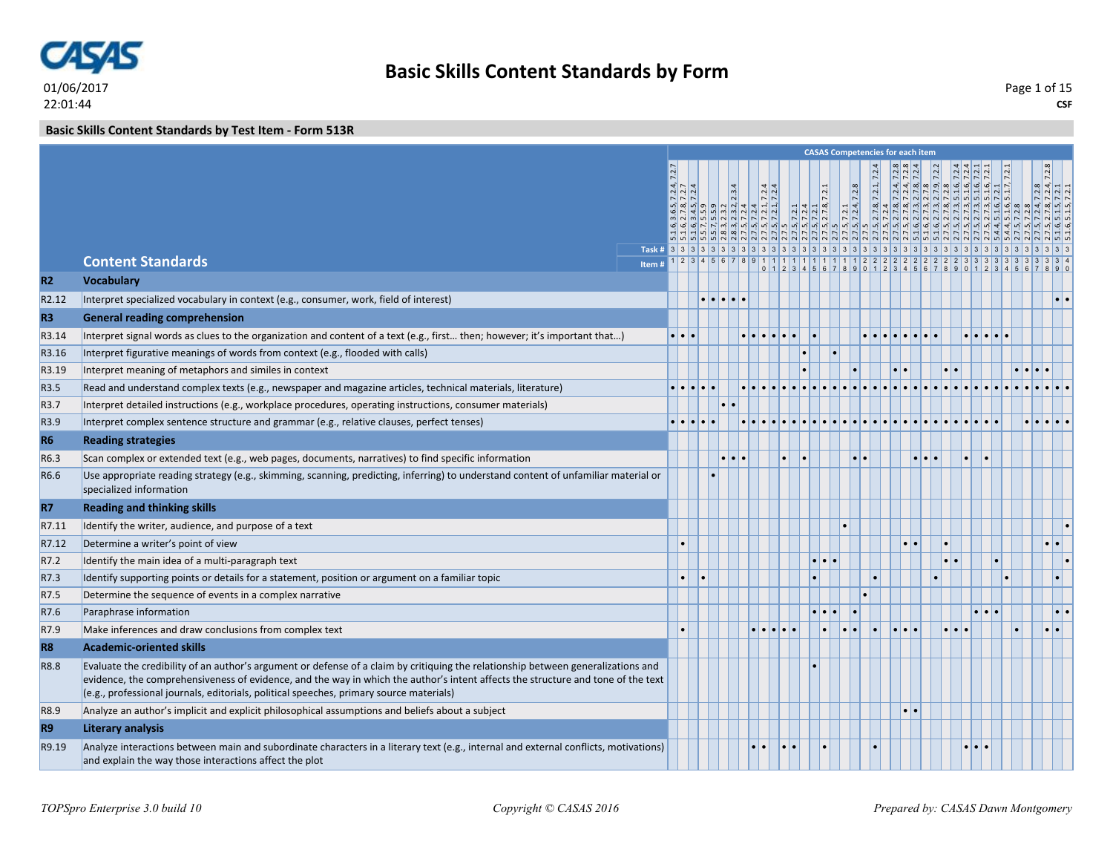

### **Basic Skills Content Standards by Test Item - Form 513R**

|                   |                                                                                                                                                                                                                                     |                     |   |   |  |  |  | <b>CASAS Competencies for each item</b> |                         |                  |                         |  |                                                                                                                                                                                                                                                                                                                                                                                                                  |                            |                     |
|-------------------|-------------------------------------------------------------------------------------------------------------------------------------------------------------------------------------------------------------------------------------|---------------------|---|---|--|--|--|-----------------------------------------|-------------------------|------------------|-------------------------|--|------------------------------------------------------------------------------------------------------------------------------------------------------------------------------------------------------------------------------------------------------------------------------------------------------------------------------------------------------------------------------------------------------------------|----------------------------|---------------------|
|                   |                                                                                                                                                                                                                                     |                     |   |   |  |  |  |                                         |                         |                  |                         |  | $\begin{array}{l} \frac{1.6}{1.6} \frac{3.6}{2.12,7} \frac{12.4}{12.7} \end{array} \begin{array}{l} \frac{1.6}{2.12,7} \end{array} \begin{array}{l} \frac{1.6}{2.12,7} \end{array} \begin{array}{l} \frac{1.6}{2.12,7} \end{array} \begin{array}{l} \frac{1.6}{2.12,7} \end{array} \begin{array}{l} \frac{1.2}{2.12,7} \end{array} \begin{array}{l} \frac{1.2}{2.12,7} \end{array} \begin{array}{l} \frac{1.2}{$ | $\frac{72.8}{72.4, 7.2.8}$ |                     |
|                   |                                                                                                                                                                                                                                     |                     |   |   |  |  |  |                                         |                         |                  |                         |  |                                                                                                                                                                                                                                                                                                                                                                                                                  |                            |                     |
|                   |                                                                                                                                                                                                                                     |                     |   |   |  |  |  |                                         |                         |                  |                         |  |                                                                                                                                                                                                                                                                                                                                                                                                                  |                            |                     |
|                   |                                                                                                                                                                                                                                     |                     |   |   |  |  |  |                                         |                         |                  |                         |  |                                                                                                                                                                                                                                                                                                                                                                                                                  |                            |                     |
|                   |                                                                                                                                                                                                                                     |                     |   |   |  |  |  |                                         |                         |                  |                         |  | ्<br>मैं मैं मैं मौजूल बाबी पार्टी पार्टी पार्टी पार्टी पार्टी पार्टी पार्टी पार्टी पार्टी मैं मैं पार्टी पार्टी पा<br>मैं मैं मौजूल बाबी पार्टी पार्टी पार्टी पार्टी पार्टी पार्टी पार्टी पार्टी पार्टी पार्टी पार्टी पार्टी पार्ट                                                                                                                                                                              |                            |                     |
|                   | <b>Content Standards</b>                                                                                                                                                                                                            |                     |   |   |  |  |  |                                         |                         |                  |                         |  |                                                                                                                                                                                                                                                                                                                                                                                                                  |                            |                     |
| R2                | <b>Vocabulary</b>                                                                                                                                                                                                                   |                     |   |   |  |  |  |                                         |                         |                  |                         |  |                                                                                                                                                                                                                                                                                                                                                                                                                  |                            |                     |
| R <sub>2.12</sub> | Interpret specialized vocabulary in context (e.g., consumer, work, field of interest)                                                                                                                                               |                     |   | . |  |  |  |                                         |                         |                  |                         |  |                                                                                                                                                                                                                                                                                                                                                                                                                  |                            | $\bullet$ $\bullet$ |
| R <sub>3</sub>    | <b>General reading comprehension</b>                                                                                                                                                                                                |                     |   |   |  |  |  |                                         |                         |                  |                         |  |                                                                                                                                                                                                                                                                                                                                                                                                                  |                            |                     |
| R3.14             | Interpret signal words as clues to the organization and content of a text (e.g., first then; however; it's important that)                                                                                                          | $\cdot \cdot \cdot$ |   |   |  |  |  |                                         |                         |                  |                         |  |                                                                                                                                                                                                                                                                                                                                                                                                                  |                            |                     |
| R3.16             | Interpret figurative meanings of words from context (e.g., flooded with calls)                                                                                                                                                      |                     |   |   |  |  |  |                                         |                         |                  |                         |  |                                                                                                                                                                                                                                                                                                                                                                                                                  |                            |                     |
| R3.19             | Interpret meaning of metaphors and similes in context                                                                                                                                                                               |                     |   |   |  |  |  |                                         | $\bullet$               |                  |                         |  |                                                                                                                                                                                                                                                                                                                                                                                                                  |                            |                     |
| R3.5              | Read and understand complex texts (e.g., newspaper and magazine articles, technical materials, literature)                                                                                                                          |                     | . |   |  |  |  |                                         |                         |                  |                         |  |                                                                                                                                                                                                                                                                                                                                                                                                                  |                            |                     |
| R3.7              | Interpret detailed instructions (e.g., workplace procedures, operating instructions, consumer materials)                                                                                                                            |                     |   |   |  |  |  |                                         |                         |                  |                         |  |                                                                                                                                                                                                                                                                                                                                                                                                                  |                            |                     |
| R3.9              | Interpret complex sentence structure and grammar (e.g., relative clauses, perfect tenses)                                                                                                                                           |                     |   |   |  |  |  |                                         |                         |                  |                         |  |                                                                                                                                                                                                                                                                                                                                                                                                                  |                            |                     |
| R <sub>6</sub>    | <b>Reading strategies</b>                                                                                                                                                                                                           |                     |   |   |  |  |  |                                         |                         |                  |                         |  |                                                                                                                                                                                                                                                                                                                                                                                                                  |                            |                     |
| R6.3              | Scan complex or extended text (e.g., web pages, documents, narratives) to find specific information                                                                                                                                 |                     |   |   |  |  |  |                                         |                         |                  | $\bullet\bullet\bullet$ |  |                                                                                                                                                                                                                                                                                                                                                                                                                  |                            |                     |
| R6.6              | Use appropriate reading strategy (e.g., skimming, scanning, predicting, inferring) to understand content of unfamiliar material or                                                                                                  |                     |   |   |  |  |  |                                         |                         |                  |                         |  |                                                                                                                                                                                                                                                                                                                                                                                                                  |                            |                     |
|                   | specialized information                                                                                                                                                                                                             |                     |   |   |  |  |  |                                         |                         |                  |                         |  |                                                                                                                                                                                                                                                                                                                                                                                                                  |                            |                     |
| R7                | <b>Reading and thinking skills</b>                                                                                                                                                                                                  |                     |   |   |  |  |  |                                         |                         |                  |                         |  |                                                                                                                                                                                                                                                                                                                                                                                                                  |                            |                     |
| R7.11             | Identify the writer, audience, and purpose of a text                                                                                                                                                                                |                     |   |   |  |  |  |                                         |                         |                  |                         |  |                                                                                                                                                                                                                                                                                                                                                                                                                  |                            |                     |
| R7.12             | Determine a writer's point of view                                                                                                                                                                                                  |                     |   |   |  |  |  |                                         |                         |                  |                         |  |                                                                                                                                                                                                                                                                                                                                                                                                                  | $\bullet\bullet$           |                     |
| R7.2              | Identify the main idea of a multi-paragraph text                                                                                                                                                                                    |                     |   |   |  |  |  |                                         |                         |                  |                         |  |                                                                                                                                                                                                                                                                                                                                                                                                                  |                            |                     |
| R7.3              | Identify supporting points or details for a statement, position or argument on a familiar topic                                                                                                                                     |                     |   |   |  |  |  |                                         |                         |                  |                         |  |                                                                                                                                                                                                                                                                                                                                                                                                                  |                            |                     |
| R7.5              | Determine the sequence of events in a complex narrative                                                                                                                                                                             |                     |   |   |  |  |  |                                         |                         |                  |                         |  |                                                                                                                                                                                                                                                                                                                                                                                                                  |                            |                     |
| R7.6              | Paraphrase information                                                                                                                                                                                                              |                     |   |   |  |  |  |                                         |                         |                  |                         |  |                                                                                                                                                                                                                                                                                                                                                                                                                  |                            |                     |
| R7.9              | Make inferences and draw conclusions from complex text                                                                                                                                                                              |                     |   |   |  |  |  |                                         | $  \bullet   \bullet  $ |                  |                         |  |                                                                                                                                                                                                                                                                                                                                                                                                                  | $\cdot \cdot$              |                     |
| R <sub>8</sub>    | <b>Academic-oriented skills</b>                                                                                                                                                                                                     |                     |   |   |  |  |  |                                         |                         |                  |                         |  |                                                                                                                                                                                                                                                                                                                                                                                                                  |                            |                     |
| R8.8              | Evaluate the credibility of an author's argument or defense of a claim by critiquing the relationship between generalizations and                                                                                                   |                     |   |   |  |  |  |                                         |                         |                  |                         |  |                                                                                                                                                                                                                                                                                                                                                                                                                  |                            |                     |
|                   | evidence, the comprehensiveness of evidence, and the way in which the author's intent affects the structure and tone of the text<br>$\vert$ (e.g., professional journals, editorials, political speeches, primary source materials) |                     |   |   |  |  |  |                                         |                         |                  |                         |  |                                                                                                                                                                                                                                                                                                                                                                                                                  |                            |                     |
| R8.9              | Analyze an author's implicit and explicit philosophical assumptions and beliefs about a subject                                                                                                                                     |                     |   |   |  |  |  |                                         |                         | $\bullet\bullet$ |                         |  |                                                                                                                                                                                                                                                                                                                                                                                                                  |                            |                     |
| R <sub>9</sub>    | <b>Literary analysis</b>                                                                                                                                                                                                            |                     |   |   |  |  |  |                                         |                         |                  |                         |  |                                                                                                                                                                                                                                                                                                                                                                                                                  |                            |                     |
| R9.19             | Analyze interactions between main and subordinate characters in a literary text (e.g., internal and external conflicts, motivations)                                                                                                |                     |   |   |  |  |  |                                         |                         |                  |                         |  |                                                                                                                                                                                                                                                                                                                                                                                                                  |                            |                     |
|                   | and explain the way those interactions affect the plot                                                                                                                                                                              |                     |   |   |  |  |  |                                         |                         |                  |                         |  |                                                                                                                                                                                                                                                                                                                                                                                                                  |                            |                     |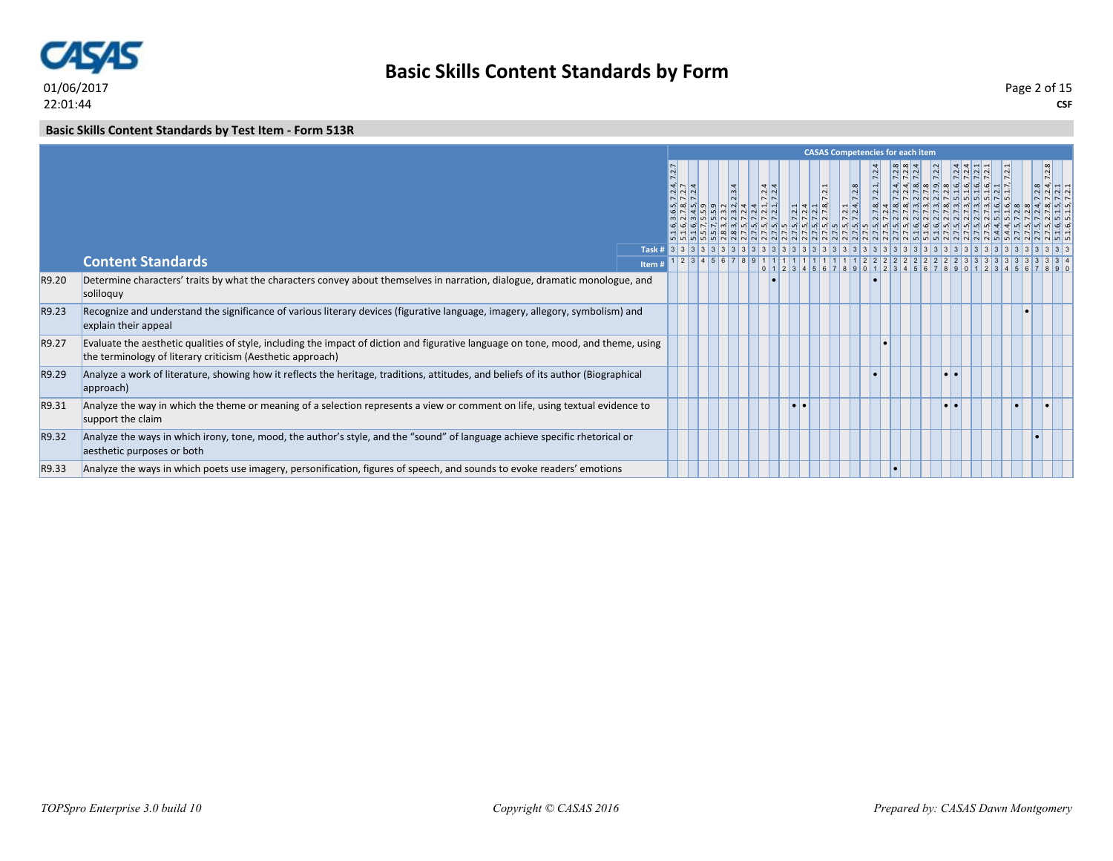

**Basic Skills Content Standards by Form**

**CSF** Page 2 of 15

### **Basic Skills Content Standards by Test Item - Form 513R**

|       |                                                                                                                                                                                                  |       |  |       |                             |           |                  |                   | <b>CASAS Competencies for each item</b>                                                                                                                                           |           |                                                                                                                                                                                                                          |  |                 |  |
|-------|--------------------------------------------------------------------------------------------------------------------------------------------------------------------------------------------------|-------|--|-------|-----------------------------|-----------|------------------|-------------------|-----------------------------------------------------------------------------------------------------------------------------------------------------------------------------------|-----------|--------------------------------------------------------------------------------------------------------------------------------------------------------------------------------------------------------------------------|--|-----------------|--|
|       |                                                                                                                                                                                                  |       |  | 2.3.4 | $\frac{3}{4}$ $\frac{4}{4}$ |           | $\overline{2.1}$ | $\frac{7.2.8}{ }$ | $N$ $N$<br>$\frac{7.212}{7.2712}$<br>$\frac{2.712}{2.27}$<br>$\frac{2.712}{2.27}$<br>$\frac{2.712}{2.27}$<br>$\frac{2.712}{2.27}$<br>$\frac{2.712}{2.27}$<br>$\frac{2.712}{2.27}$ | $ \cdot $ | $\begin{bmatrix} \n\frac{1}{2} & \frac{1}{2} & \frac{1}{2} & \frac{1}{2} & \frac{1}{2} & \frac{1}{2} \\ \n\frac{1}{2} & \frac{1}{2} & \frac{1}{2} & \frac{1}{2} & \frac{1}{2} & \frac{1}{2} & \frac{1}{2} \end{bmatrix}$ |  | $N$ $N$ $N$ $n$ |  |
|       | <b>Content Standards</b>                                                                                                                                                                         | Task# |  |       |                             |           |                  |                   |                                                                                                                                                                                   |           |                                                                                                                                                                                                                          |  |                 |  |
|       |                                                                                                                                                                                                  | Item# |  |       |                             |           |                  |                   |                                                                                                                                                                                   |           |                                                                                                                                                                                                                          |  |                 |  |
| R9.20 | Determine characters' traits by what the characters convey about themselves in narration, dialogue, dramatic monologue, and<br>soliloquy                                                         |       |  |       |                             |           |                  |                   |                                                                                                                                                                                   |           |                                                                                                                                                                                                                          |  |                 |  |
| R9.23 | Recognize and understand the significance of various literary devices (figurative language, imagery, allegory, symbolism) and<br>explain their appeal                                            |       |  |       |                             |           |                  |                   |                                                                                                                                                                                   |           |                                                                                                                                                                                                                          |  |                 |  |
| R9.27 | Evaluate the aesthetic qualities of style, including the impact of diction and figurative language on tone, mood, and theme, using<br>the terminology of literary criticism (Aesthetic approach) |       |  |       |                             |           |                  |                   |                                                                                                                                                                                   |           |                                                                                                                                                                                                                          |  |                 |  |
| R9.29 | Analyze a work of literature, showing how it reflects the heritage, traditions, attitudes, and beliefs of its author (Biographical<br>approach)                                                  |       |  |       |                             |           |                  |                   |                                                                                                                                                                                   |           |                                                                                                                                                                                                                          |  |                 |  |
| R9.31 | Analyze the way in which the theme or meaning of a selection represents a view or comment on life, using textual evidence to<br>support the claim                                                |       |  |       |                             | $\bullet$ |                  |                   |                                                                                                                                                                                   |           |                                                                                                                                                                                                                          |  |                 |  |
| R9.32 | Analyze the ways in which irony, tone, mood, the author's style, and the "sound" of language achieve specific rhetorical or<br>aesthetic purposes or both                                        |       |  |       |                             |           |                  |                   |                                                                                                                                                                                   |           |                                                                                                                                                                                                                          |  |                 |  |
| R9.33 | Analyze the ways in which poets use imagery, personification, figures of speech, and sounds to evoke readers' emotions                                                                           |       |  |       |                             |           |                  |                   |                                                                                                                                                                                   |           |                                                                                                                                                                                                                          |  |                 |  |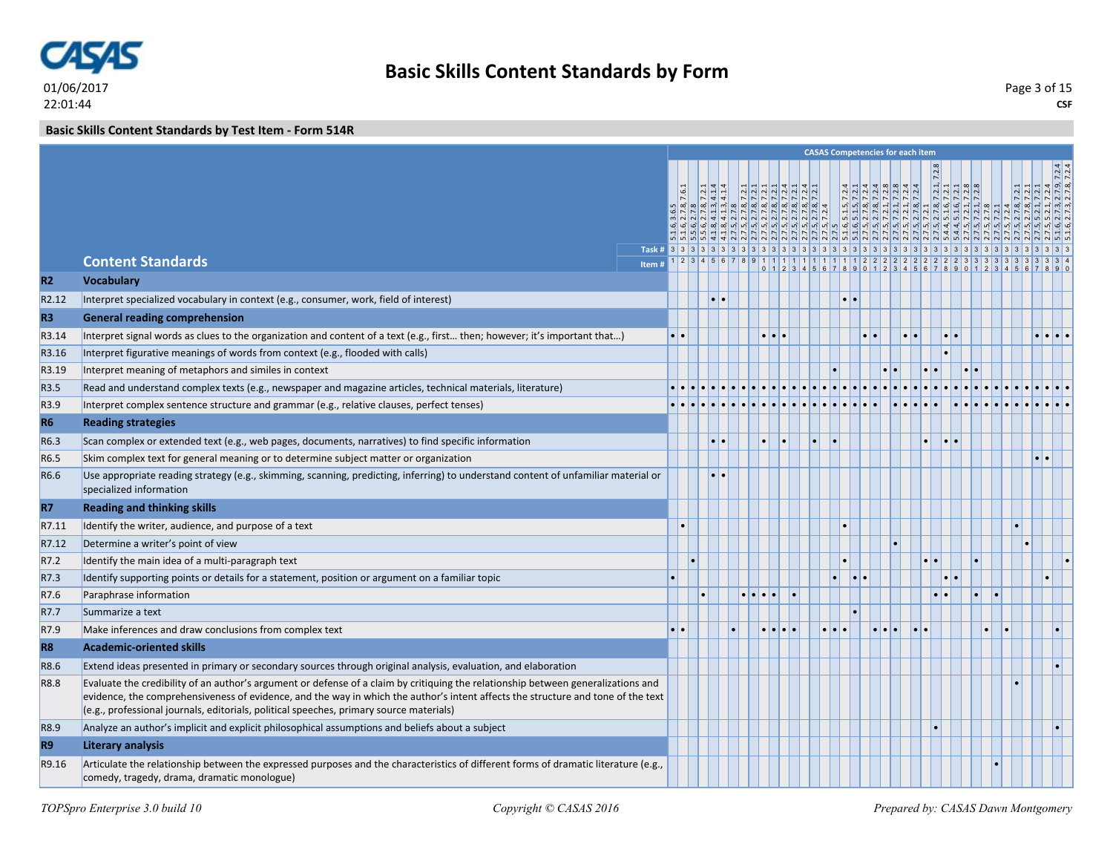

**Basic Skills Content Standards by Test Item - Form 514R**

|                                                                                                                            |                          |                                                                                                                                                                                                                                                                                                                                                                                                                                                                                                                                                    |                  |  |           |                |                     |    |                                                                          |                                                                                                                                                                                                                                                                                                                                                      |  | $=$ $\frac{1}{2}$ $\frac{1}{2}$ $\frac{1}{2}$                                                                                                                                                                                                         |
|----------------------------------------------------------------------------------------------------------------------------|--------------------------|----------------------------------------------------------------------------------------------------------------------------------------------------------------------------------------------------------------------------------------------------------------------------------------------------------------------------------------------------------------------------------------------------------------------------------------------------------------------------------------------------------------------------------------------------|------------------|--|-----------|----------------|---------------------|----|--------------------------------------------------------------------------|------------------------------------------------------------------------------------------------------------------------------------------------------------------------------------------------------------------------------------------------------------------------------------------------------------------------------------------------------|--|-------------------------------------------------------------------------------------------------------------------------------------------------------------------------------------------------------------------------------------------------------|
|                                                                                                                            |                          |                                                                                                                                                                                                                                                                                                                                                                                                                                                                                                                                                    |                  |  |           |                |                     |    |                                                                          |                                                                                                                                                                                                                                                                                                                                                      |  |                                                                                                                                                                                                                                                       |
|                                                                                                                            |                          |                                                                                                                                                                                                                                                                                                                                                                                                                                                                                                                                                    |                  |  |           |                |                     |    |                                                                          |                                                                                                                                                                                                                                                                                                                                                      |  |                                                                                                                                                                                                                                                       |
|                                                                                                                            |                          |                                                                                                                                                                                                                                                                                                                                                                                                                                                                                                                                                    |                  |  |           |                |                     |    |                                                                          |                                                                                                                                                                                                                                                                                                                                                      |  |                                                                                                                                                                                                                                                       |
|                                                                                                                            |                          |                                                                                                                                                                                                                                                                                                                                                                                                                                                                                                                                                    |                  |  |           |                |                     |    |                                                                          |                                                                                                                                                                                                                                                                                                                                                      |  |                                                                                                                                                                                                                                                       |
|                                                                                                                            | Item#                    |                                                                                                                                                                                                                                                                                                                                                                                                                                                                                                                                                    |                  |  |           |                |                     |    |                                                                          |                                                                                                                                                                                                                                                                                                                                                      |  |                                                                                                                                                                                                                                                       |
| <b>Vocabulary</b>                                                                                                          |                          |                                                                                                                                                                                                                                                                                                                                                                                                                                                                                                                                                    |                  |  |           |                |                     |    |                                                                          |                                                                                                                                                                                                                                                                                                                                                      |  |                                                                                                                                                                                                                                                       |
| Interpret specialized vocabulary in context (e.g., consumer, work, field of interest)                                      |                          |                                                                                                                                                                                                                                                                                                                                                                                                                                                                                                                                                    |                  |  |           |                |                     |    |                                                                          |                                                                                                                                                                                                                                                                                                                                                      |  |                                                                                                                                                                                                                                                       |
| <b>General reading comprehension</b>                                                                                       |                          |                                                                                                                                                                                                                                                                                                                                                                                                                                                                                                                                                    |                  |  |           |                |                     |    |                                                                          |                                                                                                                                                                                                                                                                                                                                                      |  |                                                                                                                                                                                                                                                       |
| Interpret signal words as clues to the organization and content of a text (e.g., first then; however; it's important that) |                          | $\bullet\bullet$                                                                                                                                                                                                                                                                                                                                                                                                                                                                                                                                   |                  |  |           |                |                     |    |                                                                          |                                                                                                                                                                                                                                                                                                                                                      |  |                                                                                                                                                                                                                                                       |
| Interpret figurative meanings of words from context (e.g., flooded with calls)                                             |                          |                                                                                                                                                                                                                                                                                                                                                                                                                                                                                                                                                    |                  |  |           |                |                     |    |                                                                          |                                                                                                                                                                                                                                                                                                                                                      |  |                                                                                                                                                                                                                                                       |
| Interpret meaning of metaphors and similes in context                                                                      |                          |                                                                                                                                                                                                                                                                                                                                                                                                                                                                                                                                                    |                  |  |           |                |                     |    |                                                                          |                                                                                                                                                                                                                                                                                                                                                      |  |                                                                                                                                                                                                                                                       |
| Read and understand complex texts (e.g., newspaper and magazine articles, technical materials, literature)                 |                          |                                                                                                                                                                                                                                                                                                                                                                                                                                                                                                                                                    |                  |  |           |                |                     |    |                                                                          |                                                                                                                                                                                                                                                                                                                                                      |  |                                                                                                                                                                                                                                                       |
| Interpret complex sentence structure and grammar (e.g., relative clauses, perfect tenses)                                  |                          |                                                                                                                                                                                                                                                                                                                                                                                                                                                                                                                                                    |                  |  |           |                |                     |    |                                                                          |                                                                                                                                                                                                                                                                                                                                                      |  |                                                                                                                                                                                                                                                       |
| <b>Reading strategies</b>                                                                                                  |                          |                                                                                                                                                                                                                                                                                                                                                                                                                                                                                                                                                    |                  |  |           |                |                     |    |                                                                          |                                                                                                                                                                                                                                                                                                                                                      |  |                                                                                                                                                                                                                                                       |
| Scan complex or extended text (e.g., web pages, documents, narratives) to find specific information                        |                          |                                                                                                                                                                                                                                                                                                                                                                                                                                                                                                                                                    | $\bullet\bullet$ |  |           |                |                     |    | $ \bullet  \bullet$                                                      |                                                                                                                                                                                                                                                                                                                                                      |  |                                                                                                                                                                                                                                                       |
| Skim complex text for general meaning or to determine subject matter or organization                                       |                          |                                                                                                                                                                                                                                                                                                                                                                                                                                                                                                                                                    |                  |  |           |                |                     |    |                                                                          |                                                                                                                                                                                                                                                                                                                                                      |  |                                                                                                                                                                                                                                                       |
| specialized information                                                                                                    |                          |                                                                                                                                                                                                                                                                                                                                                                                                                                                                                                                                                    |                  |  |           |                |                     |    |                                                                          |                                                                                                                                                                                                                                                                                                                                                      |  |                                                                                                                                                                                                                                                       |
| <b>Reading and thinking skills</b>                                                                                         |                          |                                                                                                                                                                                                                                                                                                                                                                                                                                                                                                                                                    |                  |  |           |                |                     |    |                                                                          |                                                                                                                                                                                                                                                                                                                                                      |  |                                                                                                                                                                                                                                                       |
| Identify the writer, audience, and purpose of a text                                                                       |                          |                                                                                                                                                                                                                                                                                                                                                                                                                                                                                                                                                    |                  |  |           |                |                     |    |                                                                          |                                                                                                                                                                                                                                                                                                                                                      |  |                                                                                                                                                                                                                                                       |
| Determine a writer's point of view                                                                                         |                          |                                                                                                                                                                                                                                                                                                                                                                                                                                                                                                                                                    |                  |  |           |                |                     |    |                                                                          |                                                                                                                                                                                                                                                                                                                                                      |  |                                                                                                                                                                                                                                                       |
| Identify the main idea of a multi-paragraph text                                                                           |                          |                                                                                                                                                                                                                                                                                                                                                                                                                                                                                                                                                    |                  |  |           |                |                     |    |                                                                          |                                                                                                                                                                                                                                                                                                                                                      |  |                                                                                                                                                                                                                                                       |
| Identify supporting points or details for a statement, position or argument on a familiar topic                            |                          |                                                                                                                                                                                                                                                                                                                                                                                                                                                                                                                                                    |                  |  |           |                |                     |    |                                                                          |                                                                                                                                                                                                                                                                                                                                                      |  |                                                                                                                                                                                                                                                       |
| Paraphrase information                                                                                                     |                          |                                                                                                                                                                                                                                                                                                                                                                                                                                                                                                                                                    |                  |  |           |                |                     |    |                                                                          |                                                                                                                                                                                                                                                                                                                                                      |  |                                                                                                                                                                                                                                                       |
| Summarize a text                                                                                                           |                          |                                                                                                                                                                                                                                                                                                                                                                                                                                                                                                                                                    |                  |  |           |                |                     |    |                                                                          |                                                                                                                                                                                                                                                                                                                                                      |  |                                                                                                                                                                                                                                                       |
| Make inferences and draw conclusions from complex text                                                                     |                          |                                                                                                                                                                                                                                                                                                                                                                                                                                                                                                                                                    |                  |  |           | $\blacksquare$ |                     |    |                                                                          |                                                                                                                                                                                                                                                                                                                                                      |  |                                                                                                                                                                                                                                                       |
| <b>Academic-oriented skills</b>                                                                                            |                          |                                                                                                                                                                                                                                                                                                                                                                                                                                                                                                                                                    |                  |  |           |                |                     |    |                                                                          |                                                                                                                                                                                                                                                                                                                                                      |  |                                                                                                                                                                                                                                                       |
| Extend ideas presented in primary or secondary sources through original analysis, evaluation, and elaboration              |                          |                                                                                                                                                                                                                                                                                                                                                                                                                                                                                                                                                    |                  |  |           |                |                     |    |                                                                          |                                                                                                                                                                                                                                                                                                                                                      |  |                                                                                                                                                                                                                                                       |
| (e.g., professional journals, editorials, political speeches, primary source materials)                                    |                          |                                                                                                                                                                                                                                                                                                                                                                                                                                                                                                                                                    |                  |  |           |                |                     |    |                                                                          |                                                                                                                                                                                                                                                                                                                                                      |  |                                                                                                                                                                                                                                                       |
| Analyze an author's implicit and explicit philosophical assumptions and beliefs about a subject                            |                          |                                                                                                                                                                                                                                                                                                                                                                                                                                                                                                                                                    |                  |  |           |                |                     |    |                                                                          |                                                                                                                                                                                                                                                                                                                                                      |  |                                                                                                                                                                                                                                                       |
| <b>Literary analysis</b>                                                                                                   |                          |                                                                                                                                                                                                                                                                                                                                                                                                                                                                                                                                                    |                  |  |           |                |                     |    |                                                                          |                                                                                                                                                                                                                                                                                                                                                      |  |                                                                                                                                                                                                                                                       |
| comedy, tragedy, drama, dramatic monologue)                                                                                |                          |                                                                                                                                                                                                                                                                                                                                                                                                                                                                                                                                                    |                  |  |           |                |                     |    |                                                                          |                                                                                                                                                                                                                                                                                                                                                      |  |                                                                                                                                                                                                                                                       |
|                                                                                                                            | <b>Content Standards</b> | Use appropriate reading strategy (e.g., skimming, scanning, predicting, inferring) to understand content of unfamiliar material or<br>Evaluate the credibility of an author's argument or defense of a claim by critiquing the relationship between generalizations and<br>evidence, the comprehensiveness of evidence, and the way in which the author's intent affects the structure and tone of the text<br>Articulate the relationship between the expressed purposes and the characteristics of different forms of dramatic literature (e.g., |                  |  | $\bullet$ |                | $\bullet$ $\bullet$ | ı. | <b>CASAS Competencies for each item</b><br>$\bullet\bullet$<br>$\bullet$ | $\frac{1}{2}$<br>$\frac{1}{2}$<br>$\frac{1}{2}$<br>$\frac{1}{2}$<br>$\frac{1}{2}$<br>$\frac{1}{2}$<br>$\frac{1}{2}$<br>$\frac{1}{2}$<br>$\frac{1}{2}$<br>$\frac{1}{2}$<br>$\frac{1}{2}$<br>$\frac{1}{2}$<br>$\frac{1}{2}$<br>$\frac{1}{2}$<br>$\frac{1}{2}$<br>$\frac{1}{2}$<br>$\frac{1}{2}$<br>$\frac{1}{2}$<br>$\frac{1}{2}$<br>$\frac{1}{2}$<br> |  | $\begin{array}{l} 6, 27.8, 76.1\\ 6, 27.8, 72.1\\ 6, 27.8\\ 3, 41.3, 41.4\\ 4, 13, 41.4\\ 5, 27.8, 72.1\\ 15, 27.8, 72.1\\ 16, 27.8, 72.1\\ 17, 27.8, 72.1\\ 18, 41.3, 41.4\\ 19, 27.8, 72.1\\ 10, 27.8, 72.1\\ 11, 27.8, 72.1\\ 12, 27.8, 72.1\\ 13$ |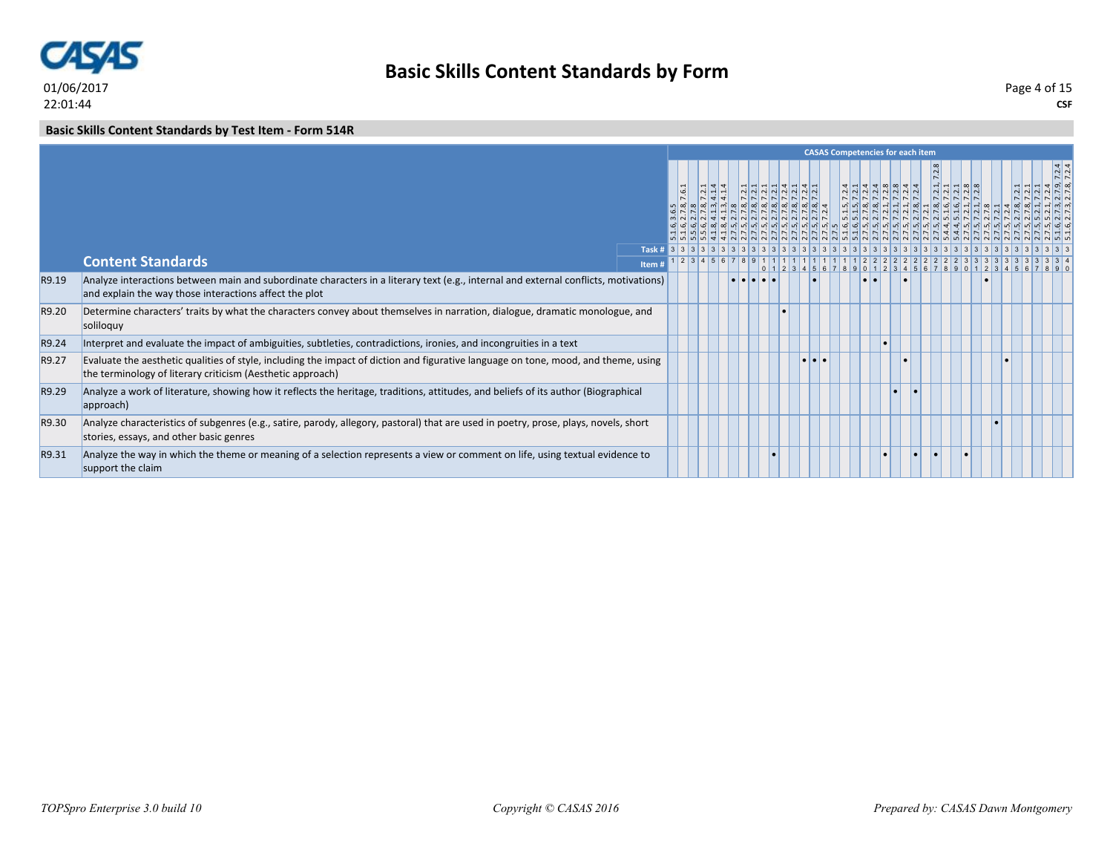

**Basic Skills Content Standards by Form**

### **Basic Skills Content Standards by Test Item - Form 514R**

|       |                                                                                                                                                                                                  |                 |          |  |                                                                                                                                                                                                                                                                                                                                                                                              |                                                                                                                                                                                                                                                                                                                                                                                              |  |  | <b>CASAS Competencies for each item</b>                                                                                                          |  |                                                                                                                |  |                              |        |
|-------|--------------------------------------------------------------------------------------------------------------------------------------------------------------------------------------------------|-----------------|----------|--|----------------------------------------------------------------------------------------------------------------------------------------------------------------------------------------------------------------------------------------------------------------------------------------------------------------------------------------------------------------------------------------------|----------------------------------------------------------------------------------------------------------------------------------------------------------------------------------------------------------------------------------------------------------------------------------------------------------------------------------------------------------------------------------------------|--|--|--------------------------------------------------------------------------------------------------------------------------------------------------|--|----------------------------------------------------------------------------------------------------------------|--|------------------------------|--------|
|       |                                                                                                                                                                                                  |                 | <b>G</b> |  | $\frac{1}{2} \frac{1}{2} \frac{1}{2} \frac{1}{2} \frac{1}{2} \frac{1}{2} \frac{1}{2} \frac{1}{2} \frac{1}{2} \frac{1}{2} \frac{1}{2} \frac{1}{2} \frac{1}{2} \frac{1}{2} \frac{1}{2} \frac{1}{2} \frac{1}{2} \frac{1}{2} \frac{1}{2} \frac{1}{2} \frac{1}{2} \frac{1}{2} \frac{1}{2} \frac{1}{2} \frac{1}{2} \frac{1}{2} \frac{1}{2} \frac{1}{2} \frac{1}{2} \frac{1}{2} \frac{1}{2} \frac{$ | $\frac{1}{2} \frac{1}{2} \frac{1}{2} \frac{1}{2} \frac{1}{2} \frac{1}{2} \frac{1}{2} \frac{1}{2} \frac{1}{2} \frac{1}{2} \frac{1}{2} \frac{1}{2} \frac{1}{2} \frac{1}{2} \frac{1}{2} \frac{1}{2} \frac{1}{2} \frac{1}{2} \frac{1}{2} \frac{1}{2} \frac{1}{2} \frac{1}{2} \frac{1}{2} \frac{1}{2} \frac{1}{2} \frac{1}{2} \frac{1}{2} \frac{1}{2} \frac{1}{2} \frac{1}{2} \frac{1}{2} \frac{$ |  |  | $4 - 4 - 00044$<br>$\frac{1}{2}$ $\frac{1}{2}$ $\frac{1}{2}$ $\frac{1}{2}$ $\frac{1}{2}$ $\frac{1}{2}$ $\frac{1}{2}$ $\frac{1}{2}$ $\frac{1}{2}$ |  | $\frac{1}{2}$ $\frac{1}{2}$ $\frac{1}{2}$ $\frac{1}{2}$ $\frac{1}{2}$ $\frac{1}{2}$<br>$ N $ $ N $ $ N $ $ N $ |  |                              | .7.2.4 |
|       | <b>Content Standards</b>                                                                                                                                                                         | Task #<br>Item# |          |  | 1 2 3 4 5 6 7 8 9 1                                                                                                                                                                                                                                                                                                                                                                          |                                                                                                                                                                                                                                                                                                                                                                                              |  |  |                                                                                                                                                  |  |                                                                                                                |  |                              |        |
| R9.19 | Analyze interactions between main and subordinate characters in a literary text (e.g., internal and external conflicts, motivations)<br>and explain the way those interactions affect the plot   |                 |          |  | $  \bullet   \bullet  $                                                                                                                                                                                                                                                                                                                                                                      |                                                                                                                                                                                                                                                                                                                                                                                              |  |  |                                                                                                                                                  |  |                                                                                                                |  | 3456789012345678901234567890 |        |
| R9.20 | Determine characters' traits by what the characters convey about themselves in narration, dialogue, dramatic monologue, and<br>soliloquy                                                         |                 |          |  |                                                                                                                                                                                                                                                                                                                                                                                              |                                                                                                                                                                                                                                                                                                                                                                                              |  |  |                                                                                                                                                  |  |                                                                                                                |  |                              |        |
| R9.24 | Interpret and evaluate the impact of ambiguities, subtleties, contradictions, ironies, and incongruities in a text                                                                               |                 |          |  |                                                                                                                                                                                                                                                                                                                                                                                              |                                                                                                                                                                                                                                                                                                                                                                                              |  |  |                                                                                                                                                  |  |                                                                                                                |  |                              |        |
| R9.27 | Evaluate the aesthetic qualities of style, including the impact of diction and figurative language on tone, mood, and theme, using<br>the terminology of literary criticism (Aesthetic approach) |                 |          |  |                                                                                                                                                                                                                                                                                                                                                                                              |                                                                                                                                                                                                                                                                                                                                                                                              |  |  |                                                                                                                                                  |  |                                                                                                                |  |                              |        |
| R9.29 | Analyze a work of literature, showing how it reflects the heritage, traditions, attitudes, and beliefs of its author (Biographical<br>approach)                                                  |                 |          |  |                                                                                                                                                                                                                                                                                                                                                                                              |                                                                                                                                                                                                                                                                                                                                                                                              |  |  |                                                                                                                                                  |  |                                                                                                                |  |                              |        |
| R9.30 | Analyze characteristics of subgenres (e.g., satire, parody, allegory, pastoral) that are used in poetry, prose, plays, novels, short<br>stories, essays, and other basic genres                  |                 |          |  |                                                                                                                                                                                                                                                                                                                                                                                              |                                                                                                                                                                                                                                                                                                                                                                                              |  |  |                                                                                                                                                  |  |                                                                                                                |  |                              |        |
| R9.31 | Analyze the way in which the theme or meaning of a selection represents a view or comment on life, using textual evidence to<br>support the claim                                                |                 |          |  |                                                                                                                                                                                                                                                                                                                                                                                              |                                                                                                                                                                                                                                                                                                                                                                                              |  |  |                                                                                                                                                  |  |                                                                                                                |  |                              |        |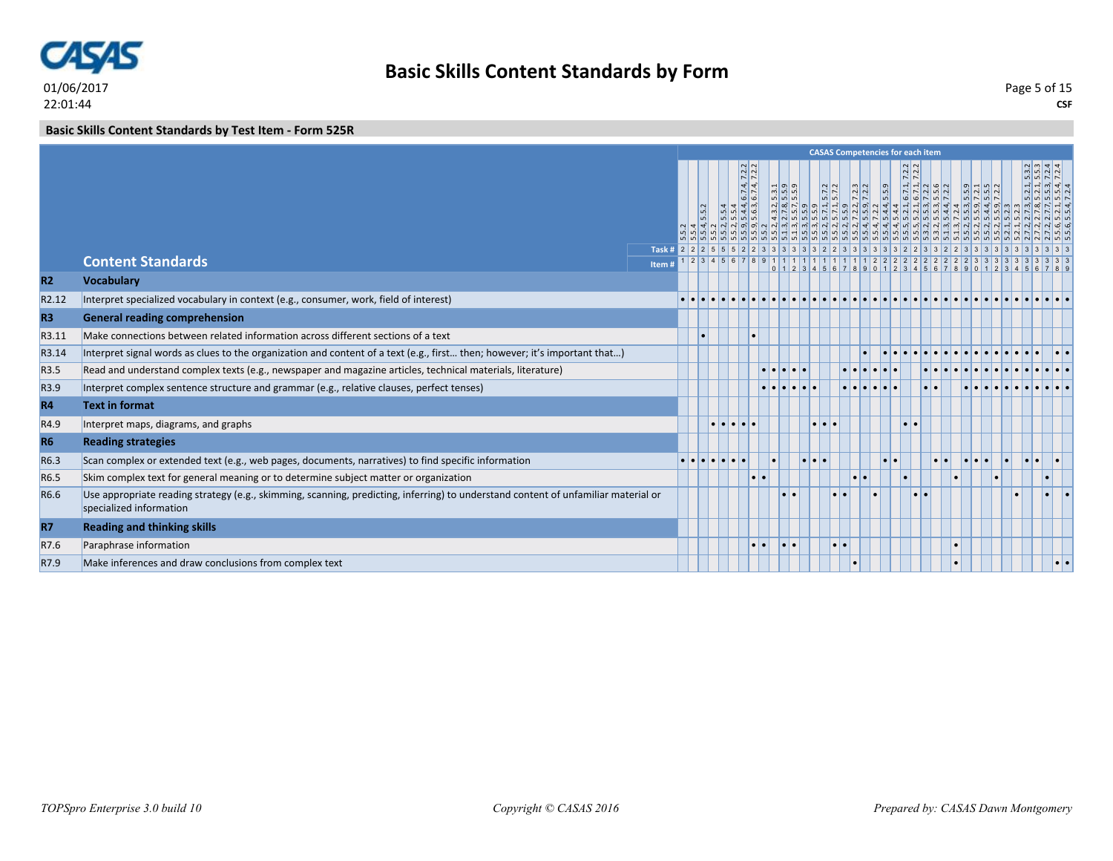

**Basic Skills Content Standards by Test Item - Form 525R**

|                |                                                                                                                                                               |                       |  |            |                                                                                                                                                                                               |           |         |           | <b>CASAS Competencies for each item</b>                                                                                                                                                                                                                                                                                                                                                                                                                                                                                                                                                                                                                                                                                                                               |       |                                                                                                                                                                                                                                                                                                                                                                       |  |                                                                      |                                                                    |                                                                                                                                                                                |
|----------------|---------------------------------------------------------------------------------------------------------------------------------------------------------------|-----------------------|--|------------|-----------------------------------------------------------------------------------------------------------------------------------------------------------------------------------------------|-----------|---------|-----------|-----------------------------------------------------------------------------------------------------------------------------------------------------------------------------------------------------------------------------------------------------------------------------------------------------------------------------------------------------------------------------------------------------------------------------------------------------------------------------------------------------------------------------------------------------------------------------------------------------------------------------------------------------------------------------------------------------------------------------------------------------------------------|-------|-----------------------------------------------------------------------------------------------------------------------------------------------------------------------------------------------------------------------------------------------------------------------------------------------------------------------------------------------------------------------|--|----------------------------------------------------------------------|--------------------------------------------------------------------|--------------------------------------------------------------------------------------------------------------------------------------------------------------------------------|
|                |                                                                                                                                                               |                       |  | $n \omega$ | $\overline{N}$<br> 4 4<br>55<br> 0 <br>$\frac{1}{4}$ m<br>$\frac{4}{6}$<br>$n \times 10$<br>$\frac{1}{2}$ $\frac{1}{2}$ $\frac{1}{2}$ $\frac{1}{2}$ $\frac{1}{2}$ $\frac{1}{2}$ $\frac{1}{2}$ |           |         |           | $\begin{array}{r} .2, 5, 3, 1, \\ 0, 5, 5, 9 \\ .7, 5, 5, 9 \\ .9, 1, 5, 7, 2, \\ .1, 5, 7, 2, \\ .2, 7, 2, 2, \\ .3, 7, 2, 2, \\ .4, 9, 7, 2, 2, \\ .5, 7, 2, 2, \\ .5, 7, 2, 2, \\ .5, 7, 2, 2, \\ .5, 7, 2, 2, \\ .5, 7, 2, 2, \\ .5, 7, 2, 2, \\ .5, 7, 2, 2, \\ .5, 7, 2, 2, \\ .$<br>$\frac{1}{2} \left  \frac{1}{2} \right  \left  \frac{1}{2} \right  \left  \frac{1}{2} \right  \left  \frac{1}{2} \right  \left  \frac{1}{2} \right  \left  \frac{1}{2} \right  \left  \frac{1}{2} \right  \left  \frac{1}{2} \right  \left  \frac{1}{2} \right  \left  \frac{1}{2} \right  \left  \frac{1}{2} \right  \left  \frac{1}{2} \right  \left  \frac{1}{2} \right  \left  \frac{1}{2} \right  \left  \frac{1}{2} \right  \left  \frac{1}{2} \right  \left  \frac$ | 5.5.9 | $\frac{2.2}{2.2}$<br>$\sim$ $\sim$<br>$\frac{1}{1}$ , $\frac{1}{1}$ , $\frac{1}{1}$ , $\frac{1}{1}$ , $\frac{1}{2}$ , $\frac{1}{2}$ , $\frac{1}{2}$ , $\frac{1}{2}$ , $\frac{1}{2}$ , $\frac{1}{2}$ , $\frac{1}{2}$ , $\frac{1}{2}$ , $\frac{1}{2}$ , $\frac{1}{2}$ , $\frac{1}{2}$ , $\frac{1}{2}$ , $\frac{1}{2}$ , $\frac{1}{2}$ , $\frac{1}{2}$ , $\frac{1}{2}$ , |  | q <br>$ n $ $\sim$ $ n $ $\sim$<br>$n \times n$<br>$m \mid n \mid 4$ | $\frac{3}{2} \cdot \frac{3}{2} \cdot \frac{4}{4}$<br>$\frac{1}{2}$ | $\frac{1}{2}$ $\frac{1}{2}$ $\frac{1}{2}$ $\frac{1}{2}$ $\frac{1}{2}$ $\frac{1}{2}$<br> q q q q q <br>$  \vec{w}   \vec{w}  $ $  \vec{w}   \vec{w}$<br>$ w  \approx  w  +  w $ |
|                | <b>Content Standards</b>                                                                                                                                      | Task # 2 2 2<br>Item# |  | 5 5        |                                                                                                                                                                                               |           |         |           |                                                                                                                                                                                                                                                                                                                                                                                                                                                                                                                                                                                                                                                                                                                                                                       |       |                                                                                                                                                                                                                                                                                                                                                                       |  |                                                                      |                                                                    |                                                                                                                                                                                |
| <b>R2</b>      | <b>Vocabulary</b>                                                                                                                                             |                       |  |            |                                                                                                                                                                                               |           |         |           |                                                                                                                                                                                                                                                                                                                                                                                                                                                                                                                                                                                                                                                                                                                                                                       |       |                                                                                                                                                                                                                                                                                                                                                                       |  |                                                                      |                                                                    |                                                                                                                                                                                |
| R2.12          | Interpret specialized vocabulary in context (e.g., consumer, work, field of interest)                                                                         |                       |  |            |                                                                                                                                                                                               |           |         |           |                                                                                                                                                                                                                                                                                                                                                                                                                                                                                                                                                                                                                                                                                                                                                                       |       |                                                                                                                                                                                                                                                                                                                                                                       |  |                                                                      |                                                                    |                                                                                                                                                                                |
| R <sub>3</sub> | <b>General reading comprehension</b>                                                                                                                          |                       |  |            |                                                                                                                                                                                               |           |         |           |                                                                                                                                                                                                                                                                                                                                                                                                                                                                                                                                                                                                                                                                                                                                                                       |       |                                                                                                                                                                                                                                                                                                                                                                       |  |                                                                      |                                                                    |                                                                                                                                                                                |
| R3.11          | Make connections between related information across different sections of a text                                                                              |                       |  |            |                                                                                                                                                                                               |           |         |           |                                                                                                                                                                                                                                                                                                                                                                                                                                                                                                                                                                                                                                                                                                                                                                       |       |                                                                                                                                                                                                                                                                                                                                                                       |  |                                                                      |                                                                    |                                                                                                                                                                                |
| R3.14          | Interpret signal words as clues to the organization and content of a text (e.g., first then; however; it's important that)                                    |                       |  |            |                                                                                                                                                                                               |           |         |           |                                                                                                                                                                                                                                                                                                                                                                                                                                                                                                                                                                                                                                                                                                                                                                       |       |                                                                                                                                                                                                                                                                                                                                                                       |  |                                                                      |                                                                    |                                                                                                                                                                                |
| R3.5           | Read and understand complex texts (e.g., newspaper and magazine articles, technical materials, literature)                                                    |                       |  |            |                                                                                                                                                                                               |           | ه امام، |           |                                                                                                                                                                                                                                                                                                                                                                                                                                                                                                                                                                                                                                                                                                                                                                       |       |                                                                                                                                                                                                                                                                                                                                                                       |  |                                                                      |                                                                    |                                                                                                                                                                                |
| R3.9           | Interpret complex sentence structure and grammar (e.g., relative clauses, perfect tenses)                                                                     |                       |  |            |                                                                                                                                                                                               |           |         |           |                                                                                                                                                                                                                                                                                                                                                                                                                                                                                                                                                                                                                                                                                                                                                                       |       |                                                                                                                                                                                                                                                                                                                                                                       |  |                                                                      |                                                                    |                                                                                                                                                                                |
| <b>R4</b>      | <b>Text in format</b>                                                                                                                                         |                       |  |            |                                                                                                                                                                                               |           |         |           |                                                                                                                                                                                                                                                                                                                                                                                                                                                                                                                                                                                                                                                                                                                                                                       |       |                                                                                                                                                                                                                                                                                                                                                                       |  |                                                                      |                                                                    |                                                                                                                                                                                |
| R4.9           | Interpret maps, diagrams, and graphs                                                                                                                          |                       |  |            |                                                                                                                                                                                               |           |         |           |                                                                                                                                                                                                                                                                                                                                                                                                                                                                                                                                                                                                                                                                                                                                                                       |       |                                                                                                                                                                                                                                                                                                                                                                       |  |                                                                      |                                                                    |                                                                                                                                                                                |
| <b>R6</b>      | <b>Reading strategies</b>                                                                                                                                     |                       |  |            |                                                                                                                                                                                               |           |         |           |                                                                                                                                                                                                                                                                                                                                                                                                                                                                                                                                                                                                                                                                                                                                                                       |       |                                                                                                                                                                                                                                                                                                                                                                       |  |                                                                      |                                                                    |                                                                                                                                                                                |
| R6.3           | Scan complex or extended text (e.g., web pages, documents, narratives) to find specific information                                                           |                       |  |            |                                                                                                                                                                                               |           |         |           |                                                                                                                                                                                                                                                                                                                                                                                                                                                                                                                                                                                                                                                                                                                                                                       |       |                                                                                                                                                                                                                                                                                                                                                                       |  |                                                                      |                                                                    |                                                                                                                                                                                |
| R6.5           | Skim complex text for general meaning or to determine subject matter or organization                                                                          |                       |  |            |                                                                                                                                                                                               | $\bullet$ |         |           | ı.                                                                                                                                                                                                                                                                                                                                                                                                                                                                                                                                                                                                                                                                                                                                                                    |       |                                                                                                                                                                                                                                                                                                                                                                       |  |                                                                      |                                                                    |                                                                                                                                                                                |
| R6.6           | Use appropriate reading strategy (e.g., skimming, scanning, predicting, inferring) to understand content of unfamiliar material or<br>specialized information |                       |  |            |                                                                                                                                                                                               |           |         |           |                                                                                                                                                                                                                                                                                                                                                                                                                                                                                                                                                                                                                                                                                                                                                                       |       |                                                                                                                                                                                                                                                                                                                                                                       |  |                                                                      |                                                                    |                                                                                                                                                                                |
| <b>R7</b>      | <b>Reading and thinking skills</b>                                                                                                                            |                       |  |            |                                                                                                                                                                                               |           |         |           |                                                                                                                                                                                                                                                                                                                                                                                                                                                                                                                                                                                                                                                                                                                                                                       |       |                                                                                                                                                                                                                                                                                                                                                                       |  |                                                                      |                                                                    |                                                                                                                                                                                |
| R7.6           | Paraphrase information                                                                                                                                        |                       |  |            |                                                                                                                                                                                               |           | ا • ا   | $\bullet$ |                                                                                                                                                                                                                                                                                                                                                                                                                                                                                                                                                                                                                                                                                                                                                                       |       |                                                                                                                                                                                                                                                                                                                                                                       |  |                                                                      |                                                                    |                                                                                                                                                                                |
| R7.9           | Make inferences and draw conclusions from complex text                                                                                                        |                       |  |            |                                                                                                                                                                                               |           |         |           |                                                                                                                                                                                                                                                                                                                                                                                                                                                                                                                                                                                                                                                                                                                                                                       |       |                                                                                                                                                                                                                                                                                                                                                                       |  |                                                                      |                                                                    |                                                                                                                                                                                |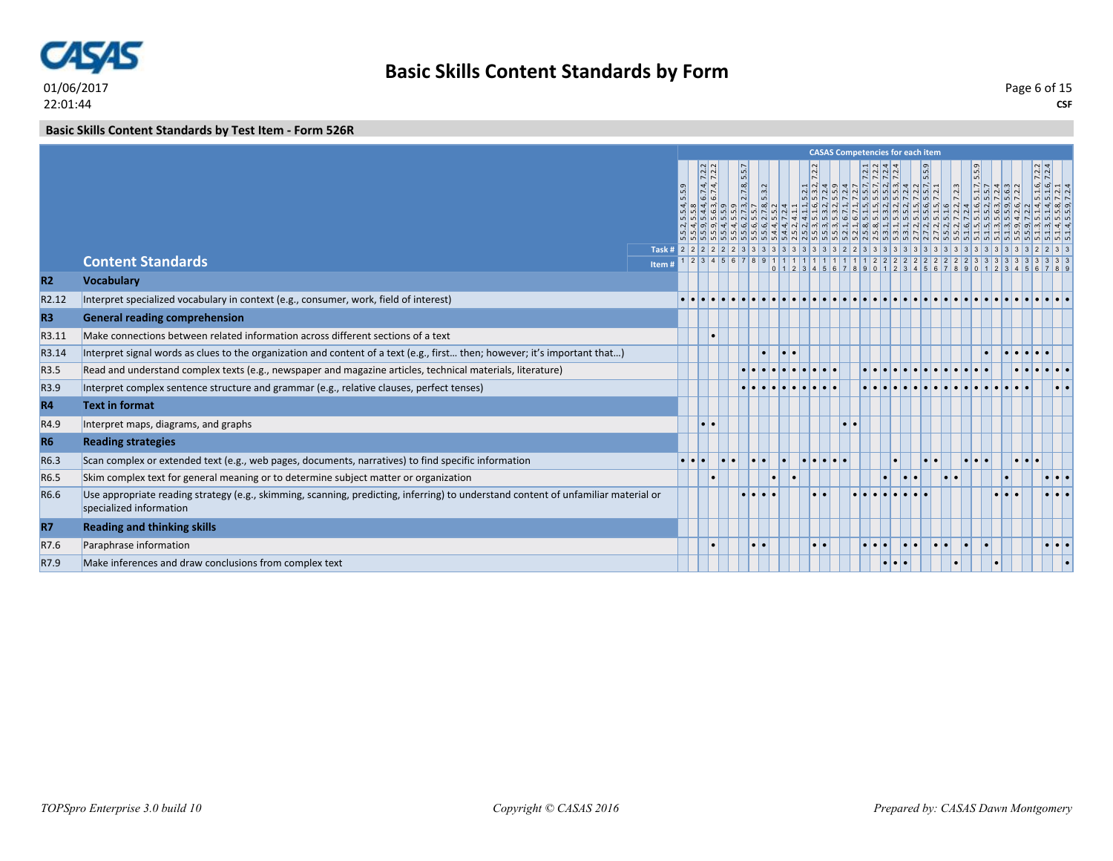

**Basic Skills Content Standards by Test Item - Form 526R**

|                |                                                                                                                                                               |       |     |                                                                                                 |                              |       |                                               |                      | <b>CASAS Competencies for each item</b> |                                                               |                  |       |  |       |                                                                                                                                                                                                                                                                           |                                                |                                                                               |
|----------------|---------------------------------------------------------------------------------------------------------------------------------------------------------------|-------|-----|-------------------------------------------------------------------------------------------------|------------------------------|-------|-----------------------------------------------|----------------------|-----------------------------------------|---------------------------------------------------------------|------------------|-------|--|-------|---------------------------------------------------------------------------------------------------------------------------------------------------------------------------------------------------------------------------------------------------------------------------|------------------------------------------------|-------------------------------------------------------------------------------|
|                |                                                                                                                                                               |       | 5.9 | $\frac{6.7.4, 7.2.2}{6.7.4, 7.2.2}$<br>$\vec{a}$ $\vec{m}$ $\vec{a}$ $\vec{a}$<br>$\frac{1}{2}$ | $\lfloor m \rfloor$<br>2.7.8 | 5.3.2 |                                               | $\vert$ <sup>2</sup> |                                         | $\frac{21}{21} \times \frac{4}{4} \times \frac{4}{4}$<br>5555 |                  | 5.5.9 |  | 5.5.9 | $\frac{5.1.7}{5.5.7}$<br>$\frac{7.2.4}{7.2.6}$<br>ியி<br>ַקְ הַיְחָקְהָ הַיְבָרָה הַמְקָרָה הַיְהַיִּהַ הַיְהַיְהַ הַיְהַיְהַ הַיְהַיְהַ הַיְהַיִּה הַיְהַיִּה הַיְהַיִ<br>הַיְהַיְהַ הַיְהַיְהַ הַיְהַיִּה הַיְהַיִּה הַיְהַיְהַ הַיְהַיְהַ הַיְהַיִּה הַיְהַיִּה הַיְהַ | $\frac{7.2.2}{7.2.4}$<br>$4 \times 0 \times 0$ | $\frac{16}{14} \frac{6}{14} \frac{1}{24}$<br>n n N L<br>$ 4 4 $ $\infty$ $ 0$ |
|                | <b>Content Standards</b>                                                                                                                                      |       |     |                                                                                                 |                              |       |                                               |                      |                                         |                                                               |                  |       |  |       |                                                                                                                                                                                                                                                                           |                                                |                                                                               |
|                |                                                                                                                                                               | Item# |     |                                                                                                 |                              |       | $0 \mid 1 \mid 2 \mid 3 \mid 4 \mid 5 \mid 6$ |                      |                                         | 90112                                                         |                  |       |  |       |                                                                                                                                                                                                                                                                           |                                                |                                                                               |
| <b>R2</b>      | <b>Vocabulary</b>                                                                                                                                             |       |     |                                                                                                 |                              |       |                                               |                      |                                         |                                                               |                  |       |  |       |                                                                                                                                                                                                                                                                           |                                                |                                                                               |
| R2.12          | Interpret specialized vocabulary in context (e.g., consumer, work, field of interest)                                                                         |       |     |                                                                                                 |                              |       |                                               |                      |                                         |                                                               |                  |       |  |       |                                                                                                                                                                                                                                                                           |                                                |                                                                               |
| R <sub>3</sub> | <b>General reading comprehension</b>                                                                                                                          |       |     |                                                                                                 |                              |       |                                               |                      |                                         |                                                               |                  |       |  |       |                                                                                                                                                                                                                                                                           |                                                |                                                                               |
| R3.11          | Make connections between related information across different sections of a text                                                                              |       |     |                                                                                                 |                              |       |                                               |                      |                                         |                                                               |                  |       |  |       |                                                                                                                                                                                                                                                                           |                                                |                                                                               |
| R3.14          | Interpret signal words as clues to the organization and content of a text (e.g., first then; however; it's important that)                                    |       |     |                                                                                                 |                              |       | $\bullet$                                     |                      |                                         |                                                               |                  |       |  |       |                                                                                                                                                                                                                                                                           |                                                |                                                                               |
| R3.5           | Read and understand complex texts (e.g., newspaper and magazine articles, technical materials, literature)                                                    |       |     |                                                                                                 |                              |       |                                               |                      |                                         |                                                               |                  |       |  |       |                                                                                                                                                                                                                                                                           |                                                |                                                                               |
| R3.9           | Interpret complex sentence structure and grammar (e.g., relative clauses, perfect tenses)                                                                     |       |     |                                                                                                 |                              |       |                                               |                      |                                         |                                                               |                  |       |  |       |                                                                                                                                                                                                                                                                           |                                                |                                                                               |
| <b>R4</b>      | <b>Text in format</b>                                                                                                                                         |       |     |                                                                                                 |                              |       |                                               |                      |                                         |                                                               |                  |       |  |       |                                                                                                                                                                                                                                                                           |                                                |                                                                               |
| R4.9           | Interpret maps, diagrams, and graphs                                                                                                                          |       |     |                                                                                                 |                              |       |                                               |                      | $  \bullet  $                           |                                                               |                  |       |  |       |                                                                                                                                                                                                                                                                           |                                                |                                                                               |
| <b>R6</b>      | <b>Reading strategies</b>                                                                                                                                     |       |     |                                                                                                 |                              |       |                                               |                      |                                         |                                                               |                  |       |  |       |                                                                                                                                                                                                                                                                           |                                                |                                                                               |
| R6.3           | Scan complex or extended text (e.g., web pages, documents, narratives) to find specific information                                                           |       |     |                                                                                                 |                              |       |                                               |                      |                                         |                                                               |                  |       |  |       |                                                                                                                                                                                                                                                                           |                                                |                                                                               |
| R6.5           | Skim complex text for general meaning or to determine subject matter or organization                                                                          |       |     |                                                                                                 |                              |       | $\bullet$                                     |                      |                                         |                                                               |                  |       |  |       |                                                                                                                                                                                                                                                                           |                                                | $\cdot \cdot \cdot$                                                           |
| R6.6           | Use appropriate reading strategy (e.g., skimming, scanning, predicting, inferring) to understand content of unfamiliar material or<br>specialized information |       |     |                                                                                                 |                              |       |                                               |                      |                                         |                                                               |                  |       |  |       |                                                                                                                                                                                                                                                                           |                                                |                                                                               |
| <b>R7</b>      | <b>Reading and thinking skills</b>                                                                                                                            |       |     |                                                                                                 |                              |       |                                               |                      |                                         |                                                               |                  |       |  |       |                                                                                                                                                                                                                                                                           |                                                |                                                                               |
| R7.6           | Paraphrase information                                                                                                                                        |       |     |                                                                                                 | $\bullet$                    |       |                                               |                      |                                         |                                                               |                  |       |  |       |                                                                                                                                                                                                                                                                           |                                                | $  \cdot   \cdot  $                                                           |
| R7.9           | Make inferences and draw conclusions from complex text                                                                                                        |       |     |                                                                                                 |                              |       |                                               |                      |                                         |                                                               | $\bullet\bullet$ |       |  |       |                                                                                                                                                                                                                                                                           |                                                |                                                                               |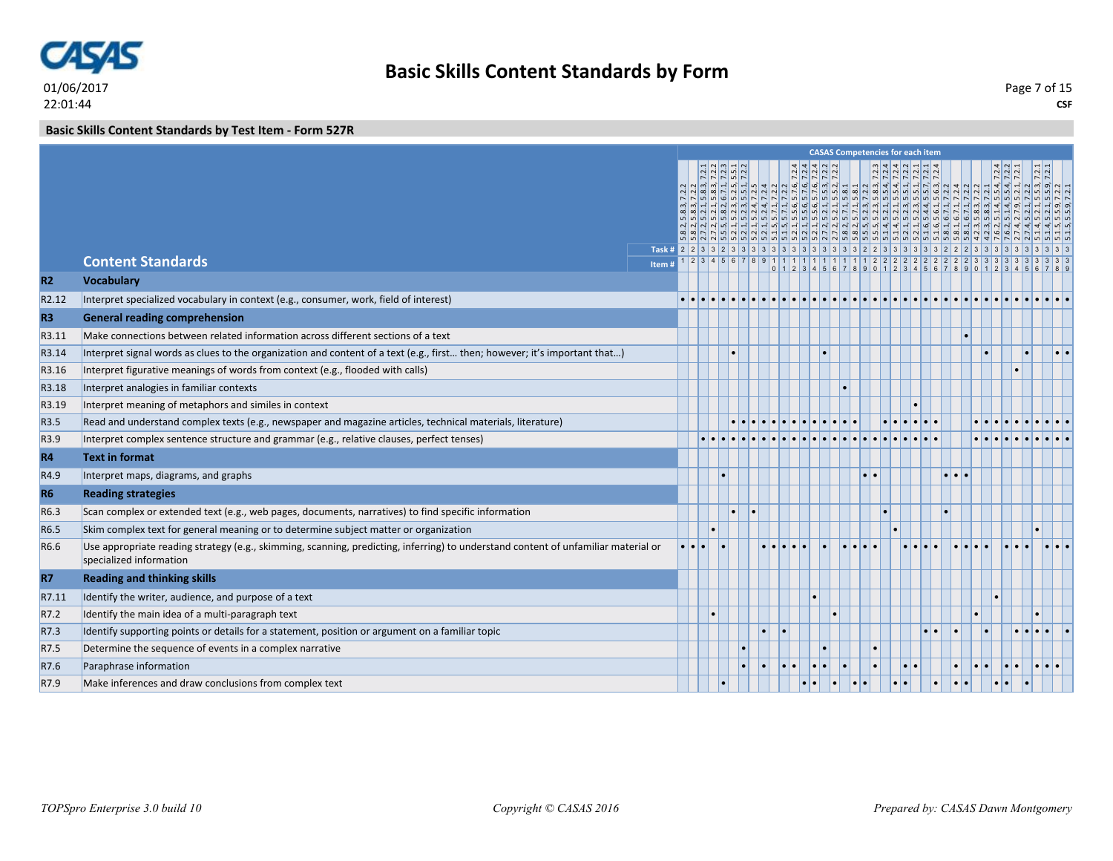

# **Basic Skills Content Standards by Form**

**CSF** Page 7 of 15

### **Basic Skills Content Standards by Test Item - Form 527R**

|                |                                                                                                                                                               |       |  |  |  |  | <b>CASAS Competencies for each item</b> |  |  |  |  |  |
|----------------|---------------------------------------------------------------------------------------------------------------------------------------------------------------|-------|--|--|--|--|-----------------------------------------|--|--|--|--|--|
|                |                                                                                                                                                               |       |  |  |  |  |                                         |  |  |  |  |  |
|                |                                                                                                                                                               |       |  |  |  |  |                                         |  |  |  |  |  |
|                |                                                                                                                                                               |       |  |  |  |  |                                         |  |  |  |  |  |
|                |                                                                                                                                                               |       |  |  |  |  |                                         |  |  |  |  |  |
|                |                                                                                                                                                               |       |  |  |  |  |                                         |  |  |  |  |  |
|                | <b>Content Standards</b>                                                                                                                                      |       |  |  |  |  |                                         |  |  |  |  |  |
| <b>R2</b>      | <b>Vocabulary</b>                                                                                                                                             | Item# |  |  |  |  |                                         |  |  |  |  |  |
|                |                                                                                                                                                               |       |  |  |  |  |                                         |  |  |  |  |  |
| R2.12          | Interpret specialized vocabulary in context (e.g., consumer, work, field of interest)                                                                         |       |  |  |  |  |                                         |  |  |  |  |  |
| R <sub>3</sub> | <b>General reading comprehension</b>                                                                                                                          |       |  |  |  |  |                                         |  |  |  |  |  |
| R3.11          | Make connections between related information across different sections of a text                                                                              |       |  |  |  |  |                                         |  |  |  |  |  |
| R3.14          | Interpret signal words as clues to the organization and content of a text (e.g., first then; however; it's important that)                                    |       |  |  |  |  |                                         |  |  |  |  |  |
| R3.16          | Interpret figurative meanings of words from context (e.g., flooded with calls)                                                                                |       |  |  |  |  |                                         |  |  |  |  |  |
| R3.18          | Interpret analogies in familiar contexts                                                                                                                      |       |  |  |  |  |                                         |  |  |  |  |  |
| R3.19          | Interpret meaning of metaphors and similes in context                                                                                                         |       |  |  |  |  |                                         |  |  |  |  |  |
| R3.5           | Read and understand complex texts (e.g., newspaper and magazine articles, technical materials, literature)                                                    |       |  |  |  |  |                                         |  |  |  |  |  |
| R3.9           | Interpret complex sentence structure and grammar (e.g., relative clauses, perfect tenses)                                                                     |       |  |  |  |  |                                         |  |  |  |  |  |
| R4             | <b>Text in format</b>                                                                                                                                         |       |  |  |  |  |                                         |  |  |  |  |  |
| R4.9           | Interpret maps, diagrams, and graphs                                                                                                                          |       |  |  |  |  |                                         |  |  |  |  |  |
| <b>R6</b>      | <b>Reading strategies</b>                                                                                                                                     |       |  |  |  |  |                                         |  |  |  |  |  |
| R6.3           | Scan complex or extended text (e.g., web pages, documents, narratives) to find specific information                                                           |       |  |  |  |  |                                         |  |  |  |  |  |
| R6.5           | Skim complex text for general meaning or to determine subject matter or organization                                                                          |       |  |  |  |  |                                         |  |  |  |  |  |
| R6.6           | Use appropriate reading strategy (e.g., skimming, scanning, predicting, inferring) to understand content of unfamiliar material or<br>specialized information |       |  |  |  |  |                                         |  |  |  |  |  |
| <b>R7</b>      | <b>Reading and thinking skills</b>                                                                                                                            |       |  |  |  |  |                                         |  |  |  |  |  |
| R7.11          | Identify the writer, audience, and purpose of a text                                                                                                          |       |  |  |  |  |                                         |  |  |  |  |  |
| R7.2           | Identify the main idea of a multi-paragraph text                                                                                                              |       |  |  |  |  |                                         |  |  |  |  |  |
| R7.3           | Identify supporting points or details for a statement, position or argument on a familiar topic                                                               |       |  |  |  |  |                                         |  |  |  |  |  |
| R7.5           | Determine the sequence of events in a complex narrative                                                                                                       |       |  |  |  |  |                                         |  |  |  |  |  |
| R7.6           | Paraphrase information                                                                                                                                        |       |  |  |  |  |                                         |  |  |  |  |  |
| R7.9           | Make inferences and draw conclusions from complex text                                                                                                        |       |  |  |  |  |                                         |  |  |  |  |  |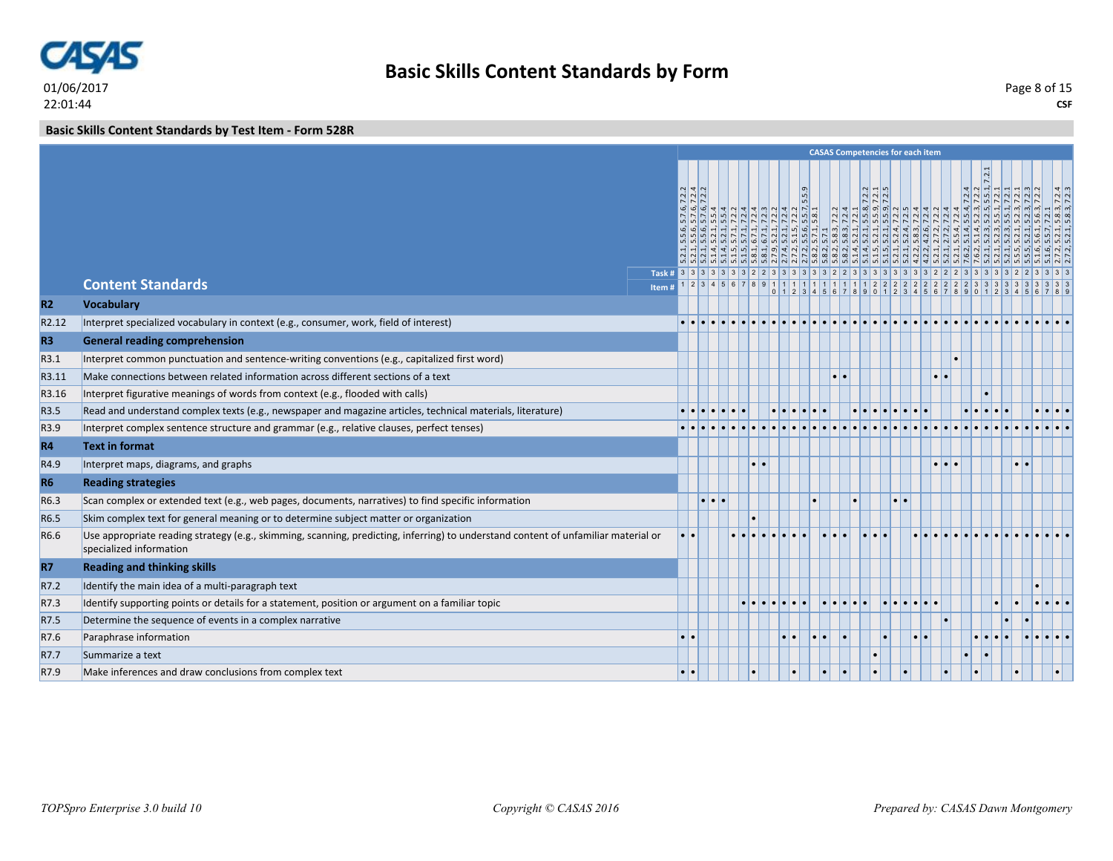

**Basic Skills Content Standards by Test Item - Form 528R**

|                   |                                                                                                                                                               |        |     |  |  |                       |    |    | <b>CASAS Competencies for each item</b>                                 |  |  |  |                                                                                                       |  |
|-------------------|---------------------------------------------------------------------------------------------------------------------------------------------------------------|--------|-----|--|--|-----------------------|----|----|-------------------------------------------------------------------------|--|--|--|-------------------------------------------------------------------------------------------------------|--|
|                   | <b>Content Standards</b>                                                                                                                                      | Item # |     |  |  | 5.9<br>$\overline{m}$ |    |    | $\frac{7.2}{7.21}$<br>$0$ 1 2 3 4 5 6 7 8 9 0 1 2 3 4 5 6 7 8 9 0 1 2 3 |  |  |  | $\frac{ S }{ S } \frac{S}{ S } \frac{S}{ S } \frac{S}{ S } \frac{S}{ S } \frac{S}{ S } \frac{S}{ S }$ |  |
| R2                | <b>Vocabulary</b>                                                                                                                                             |        |     |  |  |                       |    |    |                                                                         |  |  |  |                                                                                                       |  |
| R <sub>2.12</sub> | Interpret specialized vocabulary in context (e.g., consumer, work, field of interest)                                                                         |        |     |  |  |                       |    |    |                                                                         |  |  |  |                                                                                                       |  |
| <b>R3</b>         | <b>General reading comprehension</b>                                                                                                                          |        |     |  |  |                       |    |    |                                                                         |  |  |  |                                                                                                       |  |
| R3.1              | Interpret common punctuation and sentence-writing conventions (e.g., capitalized first word)                                                                  |        |     |  |  |                       |    |    |                                                                         |  |  |  |                                                                                                       |  |
| R3.11             | Make connections between related information across different sections of a text                                                                              |        |     |  |  |                       |    |    |                                                                         |  |  |  |                                                                                                       |  |
| R3.16             | Interpret figurative meanings of words from context (e.g., flooded with calls)                                                                                |        |     |  |  |                       |    |    |                                                                         |  |  |  |                                                                                                       |  |
| R3.5              | Read and understand complex texts (e.g., newspaper and magazine articles, technical materials, literature)                                                    |        |     |  |  |                       |    |    |                                                                         |  |  |  |                                                                                                       |  |
| R3.9              | Interpret complex sentence structure and grammar (e.g., relative clauses, perfect tenses)                                                                     |        |     |  |  |                       |    |    |                                                                         |  |  |  |                                                                                                       |  |
| <b>R4</b>         | <b>Text in format</b>                                                                                                                                         |        |     |  |  |                       |    |    |                                                                         |  |  |  |                                                                                                       |  |
| R4.9              | Interpret maps, diagrams, and graphs                                                                                                                          |        |     |  |  |                       |    |    |                                                                         |  |  |  |                                                                                                       |  |
| <b>R6</b>         | <b>Reading strategies</b>                                                                                                                                     |        |     |  |  |                       |    |    |                                                                         |  |  |  |                                                                                                       |  |
| R6.3              | Scan complex or extended text (e.g., web pages, documents, narratives) to find specific information                                                           |        |     |  |  |                       |    |    |                                                                         |  |  |  |                                                                                                       |  |
| R6.5              | Skim complex text for general meaning or to determine subject matter or organization                                                                          |        |     |  |  |                       |    |    |                                                                         |  |  |  |                                                                                                       |  |
| R6.6              | Use appropriate reading strategy (e.g., skimming, scanning, predicting, inferring) to understand content of unfamiliar material or<br>specialized information |        | ۰۱. |  |  |                       |    |    |                                                                         |  |  |  |                                                                                                       |  |
| <b>R7</b>         | <b>Reading and thinking skills</b>                                                                                                                            |        |     |  |  |                       |    |    |                                                                         |  |  |  |                                                                                                       |  |
| R7.2              | Identify the main idea of a multi-paragraph text                                                                                                              |        |     |  |  |                       |    |    |                                                                         |  |  |  |                                                                                                       |  |
| R7.3              | Identify supporting points or details for a statement, position or argument on a familiar topic                                                               |        |     |  |  |                       |    |    |                                                                         |  |  |  |                                                                                                       |  |
| R7.5              | Determine the sequence of events in a complex narrative                                                                                                       |        |     |  |  |                       |    |    |                                                                         |  |  |  |                                                                                                       |  |
| R7.6              | Paraphrase information                                                                                                                                        |        |     |  |  |                       |    |    |                                                                         |  |  |  |                                                                                                       |  |
| R7.7              | Summarize a text                                                                                                                                              |        |     |  |  |                       |    |    |                                                                         |  |  |  |                                                                                                       |  |
| R7.9              | Make inferences and draw conclusions from complex text                                                                                                        |        |     |  |  | $\bullet$             | l. | I۰ |                                                                         |  |  |  | $\bullet$                                                                                             |  |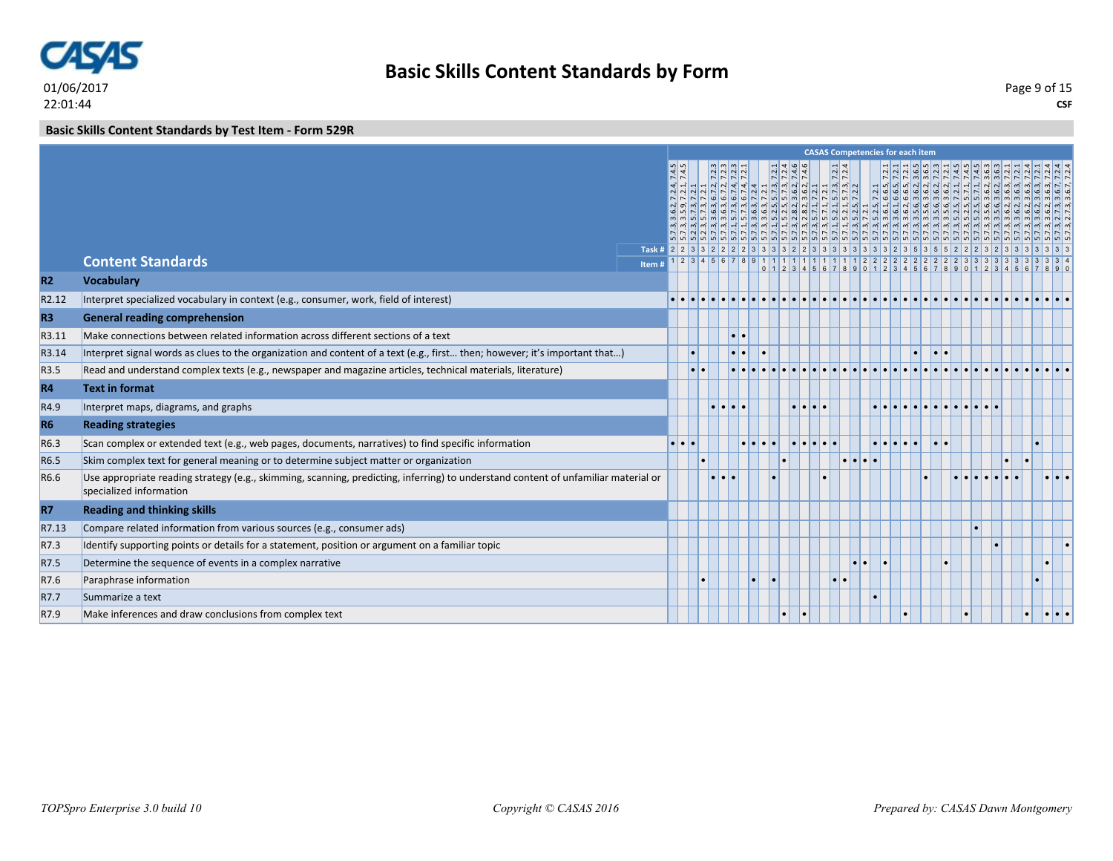

# **Basic Skills Content Standards by Form**

**CSF** Page 9 of 15

### **Basic Skills Content Standards by Test Item - Form 529R**

|                   |                                                                                                                                                               |       |                  |           |                |                                                                       |  |                                                                                                                                      |  | <b>CASAS Competencies for each item</b>                                                                                                                                                                                                                                                  |  |       |  |  |         |  |
|-------------------|---------------------------------------------------------------------------------------------------------------------------------------------------------------|-------|------------------|-----------|----------------|-----------------------------------------------------------------------|--|--------------------------------------------------------------------------------------------------------------------------------------|--|------------------------------------------------------------------------------------------------------------------------------------------------------------------------------------------------------------------------------------------------------------------------------------------|--|-------|--|--|---------|--|
|                   |                                                                                                                                                               |       |                  |           | 5555<br> v v 4 | $\frac{1}{2}$ $\frac{1}{2}$ $\frac{1}{2}$ $\frac{1}{2}$ $\frac{1}{2}$ |  | $\begin{array}{l} \n 1.74, 7.21 \\  2.4 \\  1.3, 7.21 \\  1.4, 3, 7.21 \\  1.5, 2, 7.24 \\  1.6, 2, 7.4, 6 \\  1.2, 1\n \end{array}$ |  | $\sim$ 0 $\sim$ 0 $\sim$ 0 $\sim$ 0 $\sim$ 0 $\sim$ 0 $\sim$ 0 $\sim$ 0 $\sim$ 0 $\sim$ 0 $\sim$ 0 $\sim$ 0 $\sim$ 0 $\sim$ 0 $\sim$ 0 $\sim$ 0 $\sim$ 0 $\sim$<br><u>الله عليه المراقب المراقب المراقب المراقب المراقب المراقب المراقب المراقب المراقب المراقب المراقب المراقب المر</u> |  |       |  |  |         |  |
|                   |                                                                                                                                                               |       |                  |           |                |                                                                       |  |                                                                                                                                      |  |                                                                                                                                                                                                                                                                                          |  |       |  |  |         |  |
|                   | <b>Content Standards</b>                                                                                                                                      | Item# |                  |           |                |                                                                       |  |                                                                                                                                      |  |                                                                                                                                                                                                                                                                                          |  |       |  |  |         |  |
| R2                | <b>Vocabulary</b>                                                                                                                                             |       |                  |           |                |                                                                       |  |                                                                                                                                      |  |                                                                                                                                                                                                                                                                                          |  |       |  |  |         |  |
| R <sub>2.12</sub> | Interpret specialized vocabulary in context (e.g., consumer, work, field of interest)                                                                         |       |                  |           |                |                                                                       |  |                                                                                                                                      |  |                                                                                                                                                                                                                                                                                          |  |       |  |  |         |  |
| R <sub>3</sub>    | <b>General reading comprehension</b>                                                                                                                          |       |                  |           |                |                                                                       |  |                                                                                                                                      |  |                                                                                                                                                                                                                                                                                          |  |       |  |  |         |  |
| R3.11             | Make connections between related information across different sections of a text                                                                              |       |                  |           |                | $\bullet\bullet$                                                      |  |                                                                                                                                      |  |                                                                                                                                                                                                                                                                                          |  |       |  |  |         |  |
| R3.14             | Interpret signal words as clues to the organization and content of a text (e.g., first then; however; it's important that)                                    |       |                  |           |                | $\cdot$ $\cdot$                                                       |  |                                                                                                                                      |  |                                                                                                                                                                                                                                                                                          |  | lo la |  |  |         |  |
| R3.5              | Read and understand complex texts (e.g., newspaper and magazine articles, technical materials, literature)                                                    |       |                  | $\bullet$ |                |                                                                       |  |                                                                                                                                      |  |                                                                                                                                                                                                                                                                                          |  |       |  |  |         |  |
| <b>R4</b>         | <b>Text in format</b>                                                                                                                                         |       |                  |           |                |                                                                       |  |                                                                                                                                      |  |                                                                                                                                                                                                                                                                                          |  |       |  |  |         |  |
| R4.9              | Interpret maps, diagrams, and graphs                                                                                                                          |       |                  |           |                | l.                                                                    |  |                                                                                                                                      |  |                                                                                                                                                                                                                                                                                          |  |       |  |  |         |  |
| <b>R6</b>         | <b>Reading strategies</b>                                                                                                                                     |       |                  |           |                |                                                                       |  |                                                                                                                                      |  |                                                                                                                                                                                                                                                                                          |  |       |  |  |         |  |
| R6.3              | Scan complex or extended text (e.g., web pages, documents, narratives) to find specific information                                                           |       | $\bullet\bullet$ |           |                |                                                                       |  |                                                                                                                                      |  |                                                                                                                                                                                                                                                                                          |  |       |  |  |         |  |
| R6.5              | Skim complex text for general meaning or to determine subject matter or organization                                                                          |       |                  |           |                |                                                                       |  |                                                                                                                                      |  |                                                                                                                                                                                                                                                                                          |  |       |  |  |         |  |
| R6.6              | Use appropriate reading strategy (e.g., skimming, scanning, predicting, inferring) to understand content of unfamiliar material or<br>specialized information |       |                  |           |                |                                                                       |  |                                                                                                                                      |  |                                                                                                                                                                                                                                                                                          |  |       |  |  |         |  |
| R7                | <b>Reading and thinking skills</b>                                                                                                                            |       |                  |           |                |                                                                       |  |                                                                                                                                      |  |                                                                                                                                                                                                                                                                                          |  |       |  |  |         |  |
| R7.13             | Compare related information from various sources (e.g., consumer ads)                                                                                         |       |                  |           |                |                                                                       |  |                                                                                                                                      |  |                                                                                                                                                                                                                                                                                          |  |       |  |  |         |  |
| R7.3              | Identify supporting points or details for a statement, position or argument on a familiar topic                                                               |       |                  |           |                |                                                                       |  |                                                                                                                                      |  |                                                                                                                                                                                                                                                                                          |  |       |  |  |         |  |
| R7.5              | Determine the sequence of events in a complex narrative                                                                                                       |       |                  |           |                |                                                                       |  |                                                                                                                                      |  |                                                                                                                                                                                                                                                                                          |  |       |  |  |         |  |
| R7.6              | Paraphrase information                                                                                                                                        |       |                  |           |                |                                                                       |  |                                                                                                                                      |  |                                                                                                                                                                                                                                                                                          |  |       |  |  |         |  |
| R7.7              | Summarize a text                                                                                                                                              |       |                  |           |                |                                                                       |  |                                                                                                                                      |  |                                                                                                                                                                                                                                                                                          |  |       |  |  |         |  |
| R7.9              | Make inferences and draw conclusions from complex text                                                                                                        |       |                  |           |                |                                                                       |  |                                                                                                                                      |  |                                                                                                                                                                                                                                                                                          |  |       |  |  | <b></b> |  |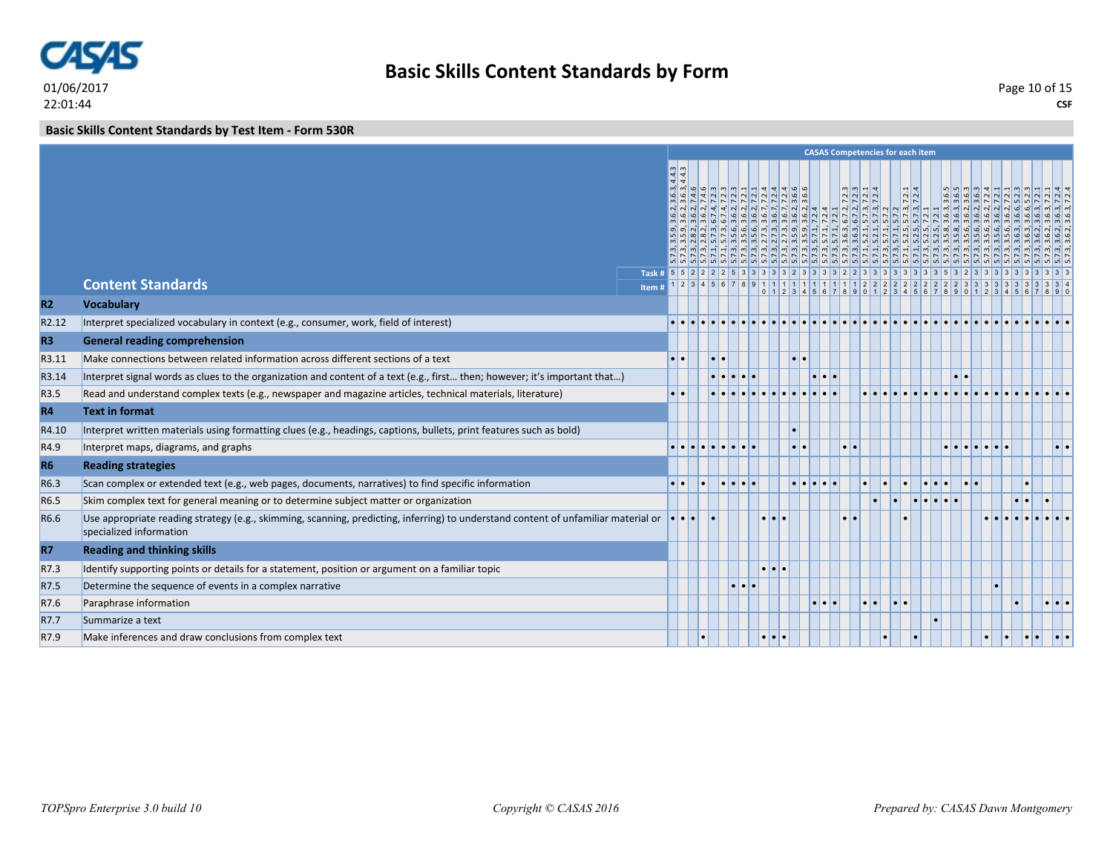

# **Basic Skills Content Standards by Form**

### **Basic Skills Content Standards by Test Item - Form 530R**

|                   |                                                                                                                                                               |       |                  |           |                                                                                                                                                                                                                                                                                                                                                                                                                                                                       |                       |                         |  |                                                                                                 | <b>CASAS Competencies for each item</b>                                                                                                                                                                                                                                                                                                                                                                                                                      |                  |                  |  |                                                                                                                                                                                                                                                                                                                                                                                                                                                                     |                                                                                                                                                                                                                                |  |
|-------------------|---------------------------------------------------------------------------------------------------------------------------------------------------------------|-------|------------------|-----------|-----------------------------------------------------------------------------------------------------------------------------------------------------------------------------------------------------------------------------------------------------------------------------------------------------------------------------------------------------------------------------------------------------------------------------------------------------------------------|-----------------------|-------------------------|--|-------------------------------------------------------------------------------------------------|--------------------------------------------------------------------------------------------------------------------------------------------------------------------------------------------------------------------------------------------------------------------------------------------------------------------------------------------------------------------------------------------------------------------------------------------------------------|------------------|------------------|--|---------------------------------------------------------------------------------------------------------------------------------------------------------------------------------------------------------------------------------------------------------------------------------------------------------------------------------------------------------------------------------------------------------------------------------------------------------------------|--------------------------------------------------------------------------------------------------------------------------------------------------------------------------------------------------------------------------------|--|
|                   | <b>Content Standards</b>                                                                                                                                      |       |                  | m q q q w | $\frac{a}{a} \frac{a}{a} \frac{d}{r} \frac{d}{r} \frac{d}{r} \frac{d}{r} \frac{d}{r} \frac{d}{r} \frac{d}{r} \frac{d}{r} \frac{d}{r} \frac{d}{r} \frac{d}{r} \frac{d}{r} \frac{d}{r} \frac{d}{r} \frac{d}{r} \frac{d}{r} \frac{d}{r} \frac{d}{r} \frac{d}{r} \frac{d}{r}$<br><u>   ज़े ज़े ज़े बे बे ज़े ज़े ज़े ज़े ज़े ज़े ज़े बे बे  </u><br>ا ما صلى الله عليه الله عليه الله عليه الله عليه الله عليه الله عليه الله عليه الله عليه الله عليه ا<br>$\frac{1}{2}$ |                       | 4400                    |  | $ \omega $ $\omega$ $ \Delta $<br>$\frac{1}{2} \frac{1}{2} \frac{1}{2} \frac{1}{2} \frac{1}{2}$ | $\frac{7.2.1}{7.2.4}$<br>$\frac{1}{2} \left  \left  \frac{1}{2} \right  \left  \left  \frac{1}{2} \right  \left  \left  \frac{1}{2} \right  \right  \left  \left  \frac{1}{2} \right  \left  \left  \left  \frac{1}{2} \right  \right  \left  \left  \left  \left  \frac{1}{2} \right  \right  \left  \left  \left  \left  \left  \left  \left  \left  \left  \left  \left  \right  \right  \right  \right  \right  \right  \right  \right  \right  \right $ | $R \circ \sigma$ | $m \omega$ m $m$ |  | $\frac{1}{2} \left  \frac{1}{2} \right  \frac{1}{2} \left  \frac{1}{2} \right  \frac{1}{2} \left  \frac{1}{2} \right  \left  \frac{1}{2} \right  \left  \frac{1}{2} \right  \left  \frac{1}{2} \right  \left  \frac{1}{2} \right  \left  \frac{1}{2} \right  \left  \frac{1}{2} \right  \left  \frac{1}{2} \right  \left  \frac{1}{2} \right  \left  \frac{1}{2} \right  \left  \frac{1}{2} \right  \left  \frac{1}{2} \right  \left  \frac{1}{2} \right  \left  \$ | بقلة أبقلها فالمالية المالية المالية المالية المالية المالية المالية المالية المالية المالية المالية المالية المالية المالية المالية المالية المالية المالية المالية المالية المالية المالية المالية المالية المالية المالية ا |  |
| R2                | <b>Vocabulary</b>                                                                                                                                             | Item# |                  |           |                                                                                                                                                                                                                                                                                                                                                                                                                                                                       |                       |                         |  |                                                                                                 |                                                                                                                                                                                                                                                                                                                                                                                                                                                              |                  |                  |  |                                                                                                                                                                                                                                                                                                                                                                                                                                                                     | 0 1 2 3 4 5 6 7 8 9 0 1 2 3 4 5 6 7 8 9 0 1 2 3 4 5 6 7 8 9 0 1 2 3 4 5 6 7 8 9                                                                                                                                                |  |
| R <sub>2.12</sub> | Interpret specialized vocabulary in context (e.g., consumer, work, field of interest)                                                                         |       |                  |           |                                                                                                                                                                                                                                                                                                                                                                                                                                                                       |                       |                         |  |                                                                                                 |                                                                                                                                                                                                                                                                                                                                                                                                                                                              |                  |                  |  |                                                                                                                                                                                                                                                                                                                                                                                                                                                                     |                                                                                                                                                                                                                                |  |
| R <sub>3</sub>    | <b>General reading comprehension</b>                                                                                                                          |       |                  |           |                                                                                                                                                                                                                                                                                                                                                                                                                                                                       |                       |                         |  |                                                                                                 |                                                                                                                                                                                                                                                                                                                                                                                                                                                              |                  |                  |  |                                                                                                                                                                                                                                                                                                                                                                                                                                                                     |                                                                                                                                                                                                                                |  |
| R3.11             | Make connections between related information across different sections of a text                                                                              |       |                  |           |                                                                                                                                                                                                                                                                                                                                                                                                                                                                       |                       |                         |  |                                                                                                 |                                                                                                                                                                                                                                                                                                                                                                                                                                                              |                  |                  |  |                                                                                                                                                                                                                                                                                                                                                                                                                                                                     |                                                                                                                                                                                                                                |  |
| R3.14             | Interpret signal words as clues to the organization and content of a text (e.g., first then; however; it's important that)                                    |       |                  |           |                                                                                                                                                                                                                                                                                                                                                                                                                                                                       |                       |                         |  |                                                                                                 |                                                                                                                                                                                                                                                                                                                                                                                                                                                              |                  |                  |  |                                                                                                                                                                                                                                                                                                                                                                                                                                                                     |                                                                                                                                                                                                                                |  |
| R3.5              | Read and understand complex texts (e.g., newspaper and magazine articles, technical materials, literature)                                                    |       | $\bullet\bullet$ |           |                                                                                                                                                                                                                                                                                                                                                                                                                                                                       |                       |                         |  |                                                                                                 |                                                                                                                                                                                                                                                                                                                                                                                                                                                              |                  |                  |  |                                                                                                                                                                                                                                                                                                                                                                                                                                                                     |                                                                                                                                                                                                                                |  |
|                   | <b>Text in format</b>                                                                                                                                         |       |                  |           |                                                                                                                                                                                                                                                                                                                                                                                                                                                                       |                       |                         |  |                                                                                                 |                                                                                                                                                                                                                                                                                                                                                                                                                                                              |                  |                  |  |                                                                                                                                                                                                                                                                                                                                                                                                                                                                     |                                                                                                                                                                                                                                |  |
| R4                |                                                                                                                                                               |       |                  |           |                                                                                                                                                                                                                                                                                                                                                                                                                                                                       |                       |                         |  |                                                                                                 |                                                                                                                                                                                                                                                                                                                                                                                                                                                              |                  |                  |  |                                                                                                                                                                                                                                                                                                                                                                                                                                                                     |                                                                                                                                                                                                                                |  |
| R4.10             | Interpret written materials using formatting clues (e.g., headings, captions, bullets, print features such as bold)                                           |       |                  |           |                                                                                                                                                                                                                                                                                                                                                                                                                                                                       |                       |                         |  |                                                                                                 |                                                                                                                                                                                                                                                                                                                                                                                                                                                              |                  |                  |  |                                                                                                                                                                                                                                                                                                                                                                                                                                                                     |                                                                                                                                                                                                                                |  |
| R4.9              | Interpret maps, diagrams, and graphs                                                                                                                          |       |                  |           |                                                                                                                                                                                                                                                                                                                                                                                                                                                                       |                       |                         |  |                                                                                                 |                                                                                                                                                                                                                                                                                                                                                                                                                                                              |                  |                  |  |                                                                                                                                                                                                                                                                                                                                                                                                                                                                     |                                                                                                                                                                                                                                |  |
| <b>R6</b>         | <b>Reading strategies</b>                                                                                                                                     |       |                  |           |                                                                                                                                                                                                                                                                                                                                                                                                                                                                       |                       |                         |  |                                                                                                 |                                                                                                                                                                                                                                                                                                                                                                                                                                                              |                  |                  |  |                                                                                                                                                                                                                                                                                                                                                                                                                                                                     |                                                                                                                                                                                                                                |  |
| R6.3              | Scan complex or extended text (e.g., web pages, documents, narratives) to find specific information                                                           |       |                  |           |                                                                                                                                                                                                                                                                                                                                                                                                                                                                       |                       |                         |  |                                                                                                 |                                                                                                                                                                                                                                                                                                                                                                                                                                                              |                  |                  |  |                                                                                                                                                                                                                                                                                                                                                                                                                                                                     |                                                                                                                                                                                                                                |  |
| R6.5              | Skim complex text for general meaning or to determine subject matter or organization                                                                          |       |                  |           |                                                                                                                                                                                                                                                                                                                                                                                                                                                                       |                       |                         |  |                                                                                                 |                                                                                                                                                                                                                                                                                                                                                                                                                                                              |                  |                  |  |                                                                                                                                                                                                                                                                                                                                                                                                                                                                     |                                                                                                                                                                                                                                |  |
| R6.6              | Use appropriate reading strategy (e.g., skimming, scanning, predicting, inferring) to understand content of unfamiliar material or<br>specialized information |       |                  |           |                                                                                                                                                                                                                                                                                                                                                                                                                                                                       |                       |                         |  |                                                                                                 |                                                                                                                                                                                                                                                                                                                                                                                                                                                              |                  |                  |  |                                                                                                                                                                                                                                                                                                                                                                                                                                                                     |                                                                                                                                                                                                                                |  |
| <b>R7</b>         | <b>Reading and thinking skills</b>                                                                                                                            |       |                  |           |                                                                                                                                                                                                                                                                                                                                                                                                                                                                       |                       |                         |  |                                                                                                 |                                                                                                                                                                                                                                                                                                                                                                                                                                                              |                  |                  |  |                                                                                                                                                                                                                                                                                                                                                                                                                                                                     |                                                                                                                                                                                                                                |  |
| R7.3              | Identify supporting points or details for a statement, position or argument on a familiar topic                                                               |       |                  |           |                                                                                                                                                                                                                                                                                                                                                                                                                                                                       |                       |                         |  |                                                                                                 |                                                                                                                                                                                                                                                                                                                                                                                                                                                              |                  |                  |  |                                                                                                                                                                                                                                                                                                                                                                                                                                                                     |                                                                                                                                                                                                                                |  |
| R7.5              | Determine the sequence of events in a complex narrative                                                                                                       |       |                  |           |                                                                                                                                                                                                                                                                                                                                                                                                                                                                       | $  \bullet   \bullet$ |                         |  |                                                                                                 |                                                                                                                                                                                                                                                                                                                                                                                                                                                              |                  |                  |  |                                                                                                                                                                                                                                                                                                                                                                                                                                                                     |                                                                                                                                                                                                                                |  |
| R7.6              | Paraphrase information                                                                                                                                        |       |                  |           |                                                                                                                                                                                                                                                                                                                                                                                                                                                                       |                       |                         |  |                                                                                                 | I۰                                                                                                                                                                                                                                                                                                                                                                                                                                                           |                  |                  |  |                                                                                                                                                                                                                                                                                                                                                                                                                                                                     |                                                                                                                                                                                                                                |  |
| R7.7              | Summarize a text                                                                                                                                              |       |                  |           |                                                                                                                                                                                                                                                                                                                                                                                                                                                                       |                       |                         |  |                                                                                                 |                                                                                                                                                                                                                                                                                                                                                                                                                                                              |                  |                  |  |                                                                                                                                                                                                                                                                                                                                                                                                                                                                     |                                                                                                                                                                                                                                |  |
| R7.9              | Make inferences and draw conclusions from complex text                                                                                                        |       |                  |           |                                                                                                                                                                                                                                                                                                                                                                                                                                                                       |                       | $\bullet\bullet\bullet$ |  |                                                                                                 |                                                                                                                                                                                                                                                                                                                                                                                                                                                              |                  |                  |  |                                                                                                                                                                                                                                                                                                                                                                                                                                                                     |                                                                                                                                                                                                                                |  |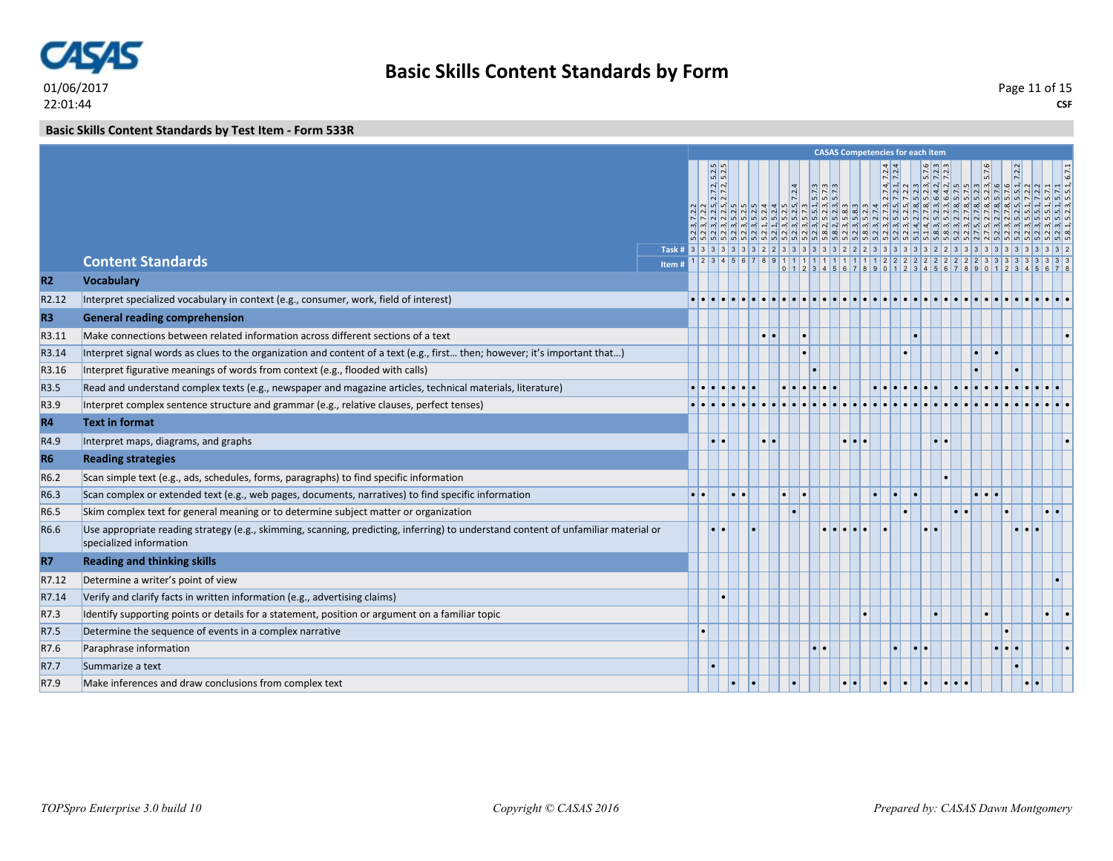

### **Basic Skills Content Standards by Test Item - Form 533R**

|                |                                                                                                                                                               |       |                                             |                     |   |                     |       |                     |           | <b>CASAS Competencies for each item</b> |           |       |    |                                                                                                                                                                                                                                                                                                                                                                                                                                                                                                                                                                   |           |               |                    |
|----------------|---------------------------------------------------------------------------------------------------------------------------------------------------------------|-------|---------------------------------------------|---------------------|---|---------------------|-------|---------------------|-----------|-----------------------------------------|-----------|-------|----|-------------------------------------------------------------------------------------------------------------------------------------------------------------------------------------------------------------------------------------------------------------------------------------------------------------------------------------------------------------------------------------------------------------------------------------------------------------------------------------------------------------------------------------------------------------------|-----------|---------------|--------------------|
|                |                                                                                                                                                               |       | $5.2.5$<br>$5.2.5$<br>$\frac{2.7.2}{2.7.2}$ |                     |   |                     | 7.2.4 | $\frac{5.73}{5.73}$ |           |                                         |           |       |    | $\begin{array}{c c}\nA, 7.2.4 \\ 1, 7.2.4 \\ 2, 3, 5.7.5\n\end{array}$<br>$\begin{array}{c c}\n3, 5, 7, 6 \\ \hline\n2, 7, 2.3 \\ \hline\n3, 7, 2.3\n\end{array}$<br>$\frac{1}{2} \frac{1}{2} \frac{1}{2} \frac{1}{2} \frac{1}{2} \frac{1}{2} \frac{1}{2} \frac{1}{2} \frac{1}{2} \frac{1}{2} \frac{1}{2} \frac{1}{2} \frac{1}{2} \frac{1}{2} \frac{1}{2} \frac{1}{2} \frac{1}{2} \frac{1}{2} \frac{1}{2} \frac{1}{2} \frac{1}{2} \frac{1}{2} \frac{1}{2} \frac{1}{2} \frac{1}{2} \frac{1}{2} \frac{1}{2} \frac{1}{2} \frac{1}{2} \frac{1}{2} \frac{1}{2} \frac{$ |           |               | $\overline{6.7.1}$ |
|                | <b>Content Standards</b>                                                                                                                                      |       |                                             |                     |   |                     |       |                     |           |                                         |           |       |    |                                                                                                                                                                                                                                                                                                                                                                                                                                                                                                                                                                   |           |               |                    |
| <b>R2</b>      | <b>Vocabulary</b>                                                                                                                                             | Item# |                                             |                     |   |                     |       |                     |           |                                         |           |       |    |                                                                                                                                                                                                                                                                                                                                                                                                                                                                                                                                                                   |           |               |                    |
|                |                                                                                                                                                               |       |                                             |                     |   |                     |       |                     |           |                                         |           |       |    |                                                                                                                                                                                                                                                                                                                                                                                                                                                                                                                                                                   |           |               |                    |
| R2.12          | Interpret specialized vocabulary in context (e.g., consumer, work, field of interest)                                                                         |       |                                             |                     |   |                     |       |                     |           |                                         |           |       |    |                                                                                                                                                                                                                                                                                                                                                                                                                                                                                                                                                                   |           |               |                    |
| R <sub>3</sub> | <b>General reading comprehension</b>                                                                                                                          |       |                                             |                     |   |                     |       |                     |           |                                         |           |       |    |                                                                                                                                                                                                                                                                                                                                                                                                                                                                                                                                                                   |           |               |                    |
| R3.11          | Make connections between related information across different sections of a text                                                                              |       |                                             |                     |   | $\bullet$ $\bullet$ |       |                     |           |                                         |           |       |    |                                                                                                                                                                                                                                                                                                                                                                                                                                                                                                                                                                   |           |               |                    |
| R3.14          | Interpret signal words as clues to the organization and content of a text (e.g., first then; however; it's important that)                                    |       |                                             |                     |   |                     |       |                     |           |                                         |           |       |    |                                                                                                                                                                                                                                                                                                                                                                                                                                                                                                                                                                   |           |               |                    |
| R3.16          | Interpret figurative meanings of words from context (e.g., flooded with calls)                                                                                |       |                                             |                     |   |                     |       |                     |           |                                         |           |       |    |                                                                                                                                                                                                                                                                                                                                                                                                                                                                                                                                                                   |           |               |                    |
| R3.5           | Read and understand complex texts (e.g., newspaper and magazine articles, technical materials, literature)                                                    |       |                                             |                     |   |                     |       |                     |           |                                         |           |       |    |                                                                                                                                                                                                                                                                                                                                                                                                                                                                                                                                                                   |           |               |                    |
| R3.9           | Interpret complex sentence structure and grammar (e.g., relative clauses, perfect tenses)                                                                     |       |                                             |                     |   |                     |       |                     |           |                                         |           |       |    |                                                                                                                                                                                                                                                                                                                                                                                                                                                                                                                                                                   |           |               |                    |
| R4             | <b>Text in format</b>                                                                                                                                         |       |                                             |                     |   |                     |       |                     |           |                                         |           |       |    |                                                                                                                                                                                                                                                                                                                                                                                                                                                                                                                                                                   |           |               |                    |
| R4.9           | Interpret maps, diagrams, and graphs                                                                                                                          |       |                                             |                     |   | $\bullet$ $\bullet$ |       |                     | $\bullet$ |                                         |           | lo la |    |                                                                                                                                                                                                                                                                                                                                                                                                                                                                                                                                                                   |           |               |                    |
| <b>R6</b>      | <b>Reading strategies</b>                                                                                                                                     |       |                                             |                     |   |                     |       |                     |           |                                         |           |       |    |                                                                                                                                                                                                                                                                                                                                                                                                                                                                                                                                                                   |           |               |                    |
| R6.2           | Scan simple text (e.g., ads, schedules, forms, paragraphs) to find specific information                                                                       |       |                                             |                     |   |                     |       |                     |           |                                         |           |       |    |                                                                                                                                                                                                                                                                                                                                                                                                                                                                                                                                                                   |           |               |                    |
| R6.3           | Scan complex or extended text (e.g., web pages, documents, narratives) to find specific information                                                           |       |                                             | $\bullet$ $\bullet$ |   |                     |       |                     |           | I۰                                      | ۱.        |       | l. |                                                                                                                                                                                                                                                                                                                                                                                                                                                                                                                                                                   |           |               |                    |
| R6.5           | Skim complex text for general meaning or to determine subject matter or organization                                                                          |       |                                             |                     |   |                     |       |                     |           |                                         |           |       |    |                                                                                                                                                                                                                                                                                                                                                                                                                                                                                                                                                                   |           | $\cdot \cdot$ |                    |
| R6.6           | Use appropriate reading strategy (e.g., skimming, scanning, predicting, inferring) to understand content of unfamiliar material or<br>specialized information |       |                                             |                     |   |                     |       |                     |           |                                         |           |       |    |                                                                                                                                                                                                                                                                                                                                                                                                                                                                                                                                                                   |           |               |                    |
| <b>R7</b>      | <b>Reading and thinking skills</b>                                                                                                                            |       |                                             |                     |   |                     |       |                     |           |                                         |           |       |    |                                                                                                                                                                                                                                                                                                                                                                                                                                                                                                                                                                   |           |               |                    |
| R7.12          | Determine a writer's point of view                                                                                                                            |       |                                             |                     |   |                     |       |                     |           |                                         |           |       |    |                                                                                                                                                                                                                                                                                                                                                                                                                                                                                                                                                                   |           |               |                    |
| R7.14          | Verify and clarify facts in written information (e.g., advertising claims)                                                                                    |       |                                             |                     |   |                     |       |                     |           |                                         |           |       |    |                                                                                                                                                                                                                                                                                                                                                                                                                                                                                                                                                                   |           |               |                    |
| R7.3           | Identify supporting points or details for a statement, position or argument on a familiar topic                                                               |       |                                             |                     |   |                     |       |                     |           |                                         |           |       |    |                                                                                                                                                                                                                                                                                                                                                                                                                                                                                                                                                                   |           | $\bullet$     |                    |
| R7.5           | Determine the sequence of events in a complex narrative                                                                                                       |       |                                             |                     |   |                     |       |                     |           |                                         |           |       |    |                                                                                                                                                                                                                                                                                                                                                                                                                                                                                                                                                                   |           |               |                    |
| R7.6           | Paraphrase information                                                                                                                                        |       |                                             |                     |   |                     |       |                     |           |                                         | $\bullet$ |       |    | $  \cdot   \cdot  $                                                                                                                                                                                                                                                                                                                                                                                                                                                                                                                                               |           |               |                    |
| R7.7           | Summarize a text                                                                                                                                              |       |                                             |                     |   |                     |       |                     |           |                                         |           |       |    |                                                                                                                                                                                                                                                                                                                                                                                                                                                                                                                                                                   |           |               |                    |
| R7.9           | Make inferences and draw conclusions from complex text                                                                                                        |       |                                             |                     | ٠ |                     |       |                     |           |                                         |           |       |    |                                                                                                                                                                                                                                                                                                                                                                                                                                                                                                                                                                   | $\bullet$ |               |                    |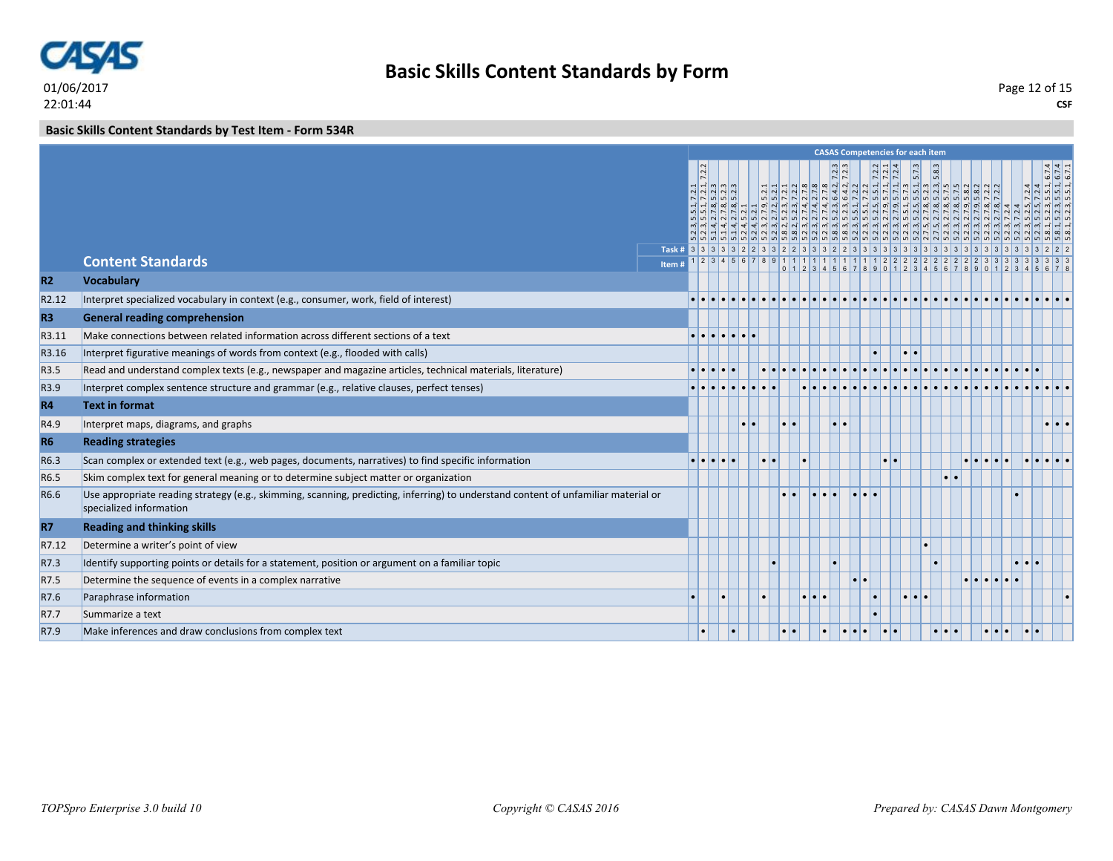

### **Basic Skills Content Standards by Test Item - Form 534R**

|                   |                                                                                                                                                               |       |                                                                                                             |  |                     |                  |                  |   | <b>CASAS Competencies for each item</b> |           |                         |                  |                                                                                                                                                                                                                                                                                                                                                                                         |                                                                                                                                                                                                                                                                                                                                                                                                                                                                                                                                                                                                                                                                    |                                                             |                           |
|-------------------|---------------------------------------------------------------------------------------------------------------------------------------------------------------|-------|-------------------------------------------------------------------------------------------------------------|--|---------------------|------------------|------------------|---|-----------------------------------------|-----------|-------------------------|------------------|-----------------------------------------------------------------------------------------------------------------------------------------------------------------------------------------------------------------------------------------------------------------------------------------------------------------------------------------------------------------------------------------|--------------------------------------------------------------------------------------------------------------------------------------------------------------------------------------------------------------------------------------------------------------------------------------------------------------------------------------------------------------------------------------------------------------------------------------------------------------------------------------------------------------------------------------------------------------------------------------------------------------------------------------------------------------------|-------------------------------------------------------------|---------------------------|
|                   |                                                                                                                                                               |       | $\frac{1}{2}$ $\frac{1}{2}$ $\frac{1}{2}$ $\frac{1}{2}$ $\frac{1}{2}$ $\frac{1}{2}$<br>$N \times 0$ $0$ $0$ |  |                     |                  |                  |   |                                         |           | 5.73                    | $\overline{5.8}$ | $\frac{1}{22} \frac{1}{12} \frac{1}{12} \frac{1}{12} \frac{1}{12} \frac{1}{12} \frac{1}{12} \frac{1}{12} \frac{1}{12} \frac{1}{12} \frac{1}{12} \frac{1}{12} \frac{1}{12} \frac{1}{12} \frac{1}{12} \frac{1}{12} \frac{1}{12} \frac{1}{12} \frac{1}{12} \frac{1}{12} \frac{1}{12} \frac{1}{12} \frac{1}{12} \frac{1}{12} \frac{1}{12} \frac{1}{12} \frac{1}{12} \frac{1$<br>$\boxed{0}$ | $\frac{1}{12}$ $\frac{1}{12}$ $\frac{1}{12}$ $\frac{1}{12}$ $\frac{1}{12}$ $\frac{1}{12}$ $\frac{1}{12}$ $\frac{1}{12}$ $\frac{1}{12}$ $\frac{1}{12}$ $\frac{1}{12}$ $\frac{1}{12}$ $\frac{1}{12}$ $\frac{1}{12}$ $\frac{1}{12}$ $\frac{1}{12}$ $\frac{1}{12}$ $\frac{1}{12}$ $\frac{1}{12}$ $\frac{1}{12}$<br>ن المناطق المناطق المناطق المناطق المناطق المناطق المناطق المناطق المناطق المناطق المناطق المناطق المناطق المن<br>الله المناطق المناطق المناطق المناطق المناطق المناطق المناطق المناطق المناطق المناطق المناطق المناطق المناطق ا<br>الله الله عليه الله عليه الله عليه الله عليه الله عليه الله عليه الله عليه الله عليه الله عليه الله الله الله ا | $ 4 4 $ $-1$ $-1$<br> q q q q q <br>$ R $ $ R $ $ R $ $ R $ | $\frac{6.74}{6.71}$       |
|                   | <b>Content Standards</b>                                                                                                                                      | Item# |                                                                                                             |  |                     |                  |                  |   |                                         |           |                         |                  |                                                                                                                                                                                                                                                                                                                                                                                         |                                                                                                                                                                                                                                                                                                                                                                                                                                                                                                                                                                                                                                                                    |                                                             |                           |
| R <sub>2</sub>    | <b>Vocabulary</b>                                                                                                                                             |       |                                                                                                             |  |                     |                  |                  |   |                                         |           |                         |                  |                                                                                                                                                                                                                                                                                                                                                                                         | 0 1 2 3 4 5 6 7 8 9 0 1 2 3 4 5 6 7 8 9 0 1 2 3 4 5 6 7 8 9 0 1 2 3 4 5 6 7 8                                                                                                                                                                                                                                                                                                                                                                                                                                                                                                                                                                                      |                                                             |                           |
| R <sub>2.12</sub> | Interpret specialized vocabulary in context (e.g., consumer, work, field of interest)                                                                         |       |                                                                                                             |  |                     |                  |                  |   |                                         |           |                         |                  |                                                                                                                                                                                                                                                                                                                                                                                         |                                                                                                                                                                                                                                                                                                                                                                                                                                                                                                                                                                                                                                                                    |                                                             |                           |
| R <sub>3</sub>    | <b>General reading comprehension</b>                                                                                                                          |       |                                                                                                             |  |                     |                  |                  |   |                                         |           |                         |                  |                                                                                                                                                                                                                                                                                                                                                                                         |                                                                                                                                                                                                                                                                                                                                                                                                                                                                                                                                                                                                                                                                    |                                                             |                           |
| R3.11             | Make connections between related information across different sections of a text                                                                              |       |                                                                                                             |  |                     |                  |                  |   |                                         |           |                         |                  |                                                                                                                                                                                                                                                                                                                                                                                         |                                                                                                                                                                                                                                                                                                                                                                                                                                                                                                                                                                                                                                                                    |                                                             |                           |
| R3.16             | Interpret figurative meanings of words from context (e.g., flooded with calls)                                                                                |       |                                                                                                             |  |                     |                  |                  |   |                                         |           |                         |                  |                                                                                                                                                                                                                                                                                                                                                                                         |                                                                                                                                                                                                                                                                                                                                                                                                                                                                                                                                                                                                                                                                    |                                                             |                           |
| R3.5              | Read and understand complex texts (e.g., newspaper and magazine articles, technical materials, literature)                                                    |       |                                                                                                             |  |                     |                  |                  |   |                                         |           |                         |                  |                                                                                                                                                                                                                                                                                                                                                                                         |                                                                                                                                                                                                                                                                                                                                                                                                                                                                                                                                                                                                                                                                    |                                                             |                           |
| R3.9              | Interpret complex sentence structure and grammar (e.g., relative clauses, perfect tenses)                                                                     |       |                                                                                                             |  |                     |                  |                  |   |                                         |           |                         |                  |                                                                                                                                                                                                                                                                                                                                                                                         |                                                                                                                                                                                                                                                                                                                                                                                                                                                                                                                                                                                                                                                                    |                                                             |                           |
| <b>R4</b>         | <b>Text in format</b>                                                                                                                                         |       |                                                                                                             |  |                     |                  |                  |   |                                         |           |                         |                  |                                                                                                                                                                                                                                                                                                                                                                                         |                                                                                                                                                                                                                                                                                                                                                                                                                                                                                                                                                                                                                                                                    |                                                             |                           |
| R4.9              | Interpret maps, diagrams, and graphs                                                                                                                          |       |                                                                                                             |  | $\bullet\bullet$    | $\bullet$        |                  | Ы |                                         |           |                         |                  |                                                                                                                                                                                                                                                                                                                                                                                         |                                                                                                                                                                                                                                                                                                                                                                                                                                                                                                                                                                                                                                                                    |                                                             | $  \cdot   \cdot   \cdot$ |
| R <sub>6</sub>    | <b>Reading strategies</b>                                                                                                                                     |       |                                                                                                             |  |                     |                  |                  |   |                                         |           |                         |                  |                                                                                                                                                                                                                                                                                                                                                                                         |                                                                                                                                                                                                                                                                                                                                                                                                                                                                                                                                                                                                                                                                    |                                                             |                           |
| R6.3              | Scan complex or extended text (e.g., web pages, documents, narratives) to find specific information                                                           |       | ا ما ما ما م                                                                                                |  | $\bullet$ $\bullet$ |                  |                  |   |                                         |           |                         |                  |                                                                                                                                                                                                                                                                                                                                                                                         |                                                                                                                                                                                                                                                                                                                                                                                                                                                                                                                                                                                                                                                                    |                                                             |                           |
| R6.5              | Skim complex text for general meaning or to determine subject matter or organization                                                                          |       |                                                                                                             |  |                     |                  |                  |   |                                         |           |                         | ы                |                                                                                                                                                                                                                                                                                                                                                                                         |                                                                                                                                                                                                                                                                                                                                                                                                                                                                                                                                                                                                                                                                    |                                                             |                           |
| R6.6              | Use appropriate reading strategy (e.g., skimming, scanning, predicting, inferring) to understand content of unfamiliar material or<br>specialized information |       |                                                                                                             |  |                     |                  |                  |   |                                         |           |                         |                  |                                                                                                                                                                                                                                                                                                                                                                                         |                                                                                                                                                                                                                                                                                                                                                                                                                                                                                                                                                                                                                                                                    |                                                             |                           |
| <b>R7</b>         | <b>Reading and thinking skills</b>                                                                                                                            |       |                                                                                                             |  |                     |                  |                  |   |                                         |           |                         |                  |                                                                                                                                                                                                                                                                                                                                                                                         |                                                                                                                                                                                                                                                                                                                                                                                                                                                                                                                                                                                                                                                                    |                                                             |                           |
| R7.12             | Determine a writer's point of view                                                                                                                            |       |                                                                                                             |  |                     |                  |                  |   |                                         |           |                         |                  |                                                                                                                                                                                                                                                                                                                                                                                         |                                                                                                                                                                                                                                                                                                                                                                                                                                                                                                                                                                                                                                                                    |                                                             |                           |
| R7.3              | Identify supporting points or details for a statement, position or argument on a familiar topic                                                               |       |                                                                                                             |  |                     |                  |                  |   |                                         |           |                         |                  |                                                                                                                                                                                                                                                                                                                                                                                         |                                                                                                                                                                                                                                                                                                                                                                                                                                                                                                                                                                                                                                                                    |                                                             |                           |
| R7.5              | Determine the sequence of events in a complex narrative                                                                                                       |       |                                                                                                             |  |                     |                  |                  |   |                                         |           |                         |                  |                                                                                                                                                                                                                                                                                                                                                                                         |                                                                                                                                                                                                                                                                                                                                                                                                                                                                                                                                                                                                                                                                    |                                                             |                           |
| R7.6              | Paraphrase information                                                                                                                                        |       |                                                                                                             |  | $\bullet$           |                  | $\bullet\bullet$ |   |                                         | $\bullet$ | $\bullet\bullet\bullet$ |                  |                                                                                                                                                                                                                                                                                                                                                                                         |                                                                                                                                                                                                                                                                                                                                                                                                                                                                                                                                                                                                                                                                    |                                                             |                           |
| R7.7              | Summarize a text                                                                                                                                              |       |                                                                                                             |  |                     |                  |                  |   |                                         |           |                         |                  |                                                                                                                                                                                                                                                                                                                                                                                         |                                                                                                                                                                                                                                                                                                                                                                                                                                                                                                                                                                                                                                                                    |                                                             |                           |
| R7.9              | Make inferences and draw conclusions from complex text                                                                                                        |       |                                                                                                             |  |                     | $\bullet\bullet$ |                  |   |                                         |           |                         | $\cdot$ $\cdot$  |                                                                                                                                                                                                                                                                                                                                                                                         |                                                                                                                                                                                                                                                                                                                                                                                                                                                                                                                                                                                                                                                                    |                                                             |                           |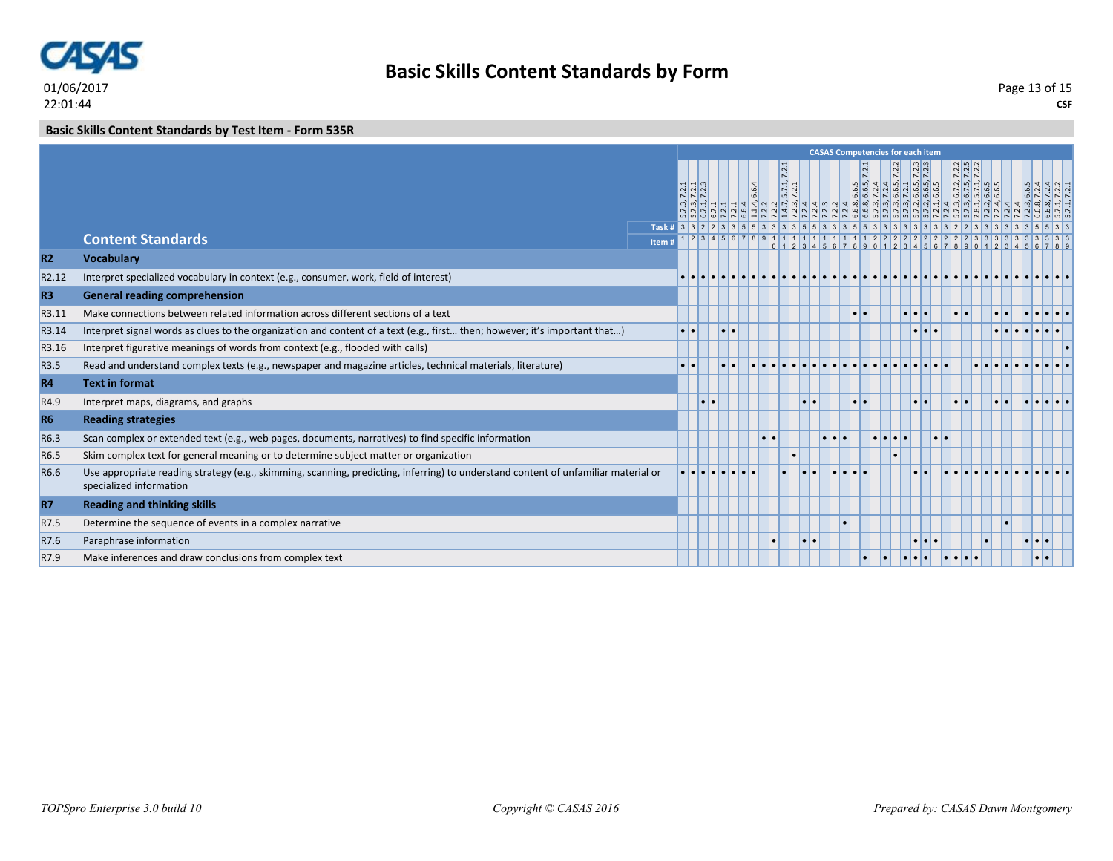

### **Basic Skills Content Standards by Test Item - Form 535R**

|                |                                                                                                                                                               |      | <b>CASAS Competencies for each item</b> |                    |  |                                                        |           |                                                              |                 |                         |                  |  |                                                                   |                                            |                         |                 |                                |                                                     |                                                             |  |
|----------------|---------------------------------------------------------------------------------------------------------------------------------------------------------------|------|-----------------------------------------|--------------------|--|--------------------------------------------------------|-----------|--------------------------------------------------------------|-----------------|-------------------------|------------------|--|-------------------------------------------------------------------|--------------------------------------------|-------------------------|-----------------|--------------------------------|-----------------------------------------------------|-------------------------------------------------------------|--|
|                |                                                                                                                                                               |      |                                         | $ N $ $ N $<br>NNN |  | 6.6.4<br>$\left  4 \right\rangle$<br>52222232222222222 |           | $\frac{1}{2}$<br>$\frac{1}{2}$ $\frac{1}{2}$<br>$ m $ $\sim$ |                 |                         |                  |  | $ v $ וש $ a $ מי $ a $ מי $ v $<br> a a a a a a a a a a<br>N N G | $\overline{N}$<br>$\sim$ $\sigma$ $\sigma$ |                         |                 | $\frac{2}{2}$<br>$\frac{1}{2}$ | $6.7.3$<br>$6.7.5$<br>$6.7.1$<br>$6.6.5$<br>$6.6.5$ |                                                             |  |
|                |                                                                                                                                                               |      |                                         |                    |  |                                                        |           |                                                              |                 |                         |                  |  |                                                                   |                                            |                         |                 |                                |                                                     |                                                             |  |
|                | <b>Content Standards</b>                                                                                                                                      | Item |                                         |                    |  |                                                        |           |                                                              |                 |                         |                  |  |                                                                   |                                            |                         |                 |                                |                                                     | 0 1 2 3 4 5 6 7 8 9 0 1 2 3 4 5 6 7 8 9 0 1 2 3 4 5 6 7 8 9 |  |
| <b>R2</b>      | <b>Vocabulary</b>                                                                                                                                             |      |                                         |                    |  |                                                        |           |                                                              |                 |                         |                  |  |                                                                   |                                            |                         |                 |                                |                                                     |                                                             |  |
| R2.12          | Interpret specialized vocabulary in context (e.g., consumer, work, field of interest)                                                                         |      |                                         |                    |  |                                                        |           |                                                              |                 |                         |                  |  |                                                                   |                                            |                         |                 |                                |                                                     |                                                             |  |
| R <sub>3</sub> | <b>General reading comprehension</b>                                                                                                                          |      |                                         |                    |  |                                                        |           |                                                              |                 |                         |                  |  |                                                                   |                                            |                         |                 |                                |                                                     |                                                             |  |
| R3.11          | Make connections between related information across different sections of a text                                                                              |      |                                         |                    |  |                                                        |           |                                                              |                 |                         | $\bullet\bullet$ |  |                                                                   | $\bullet\bullet\bullet$                    |                         | $\bullet$       |                                |                                                     |                                                             |  |
| R3.14          | Interpret signal words as clues to the organization and content of a text (e.g., first then; however; it's important that)                                    |      | $\bullet\bullet$                        |                    |  |                                                        |           |                                                              |                 |                         |                  |  |                                                                   |                                            | $\bullet\bullet\bullet$ |                 |                                |                                                     |                                                             |  |
| R3.16          | Interpret figurative meanings of words from context (e.g., flooded with calls)                                                                                |      |                                         |                    |  |                                                        |           |                                                              |                 |                         |                  |  |                                                                   |                                            |                         |                 |                                |                                                     |                                                             |  |
| R3.5           | Read and understand complex texts (e.g., newspaper and magazine articles, technical materials, literature)                                                    |      |                                         |                    |  |                                                        |           |                                                              |                 |                         |                  |  |                                                                   |                                            |                         |                 |                                |                                                     |                                                             |  |
| <b>R4</b>      | <b>Text in format</b>                                                                                                                                         |      |                                         |                    |  |                                                        |           |                                                              |                 |                         |                  |  |                                                                   |                                            |                         |                 |                                |                                                     |                                                             |  |
| R4.9           | Interpret maps, diagrams, and graphs                                                                                                                          |      |                                         |                    |  |                                                        |           |                                                              | $\cdot$ $\cdot$ |                         | . .              |  |                                                                   | $\bullet$ $\bullet$                        |                         | $\cdot$ $\cdot$ |                                |                                                     |                                                             |  |
| <b>R6</b>      | <b>Reading strategies</b>                                                                                                                                     |      |                                         |                    |  |                                                        |           |                                                              |                 |                         |                  |  |                                                                   |                                            |                         |                 |                                |                                                     |                                                             |  |
| R6.3           | Scan complex or extended text (e.g., web pages, documents, narratives) to find specific information                                                           |      |                                         |                    |  |                                                        | $\bullet$ |                                                              |                 | $\bullet\bullet\bullet$ |                  |  | .                                                                 |                                            | $\bullet\bullet$        |                 |                                |                                                     |                                                             |  |
| R6.5           | Skim complex text for general meaning or to determine subject matter or organization                                                                          |      |                                         |                    |  |                                                        |           |                                                              |                 |                         |                  |  |                                                                   |                                            |                         |                 |                                |                                                     |                                                             |  |
| R6.6           | Use appropriate reading strategy (e.g., skimming, scanning, predicting, inferring) to understand content of unfamiliar material or<br>specialized information |      |                                         |                    |  |                                                        |           |                                                              |                 |                         |                  |  |                                                                   |                                            |                         |                 |                                |                                                     |                                                             |  |
| <b>R7</b>      | <b>Reading and thinking skills</b>                                                                                                                            |      |                                         |                    |  |                                                        |           |                                                              |                 |                         |                  |  |                                                                   |                                            |                         |                 |                                |                                                     |                                                             |  |
| R7.5           | Determine the sequence of events in a complex narrative                                                                                                       |      |                                         |                    |  |                                                        |           |                                                              |                 |                         |                  |  |                                                                   |                                            |                         |                 |                                |                                                     |                                                             |  |
| R7.6           | Paraphrase information                                                                                                                                        |      |                                         |                    |  |                                                        | $\bullet$ |                                                              | $\bullet$       |                         |                  |  |                                                                   |                                            | $\bullet\bullet\bullet$ |                 |                                |                                                     | . .<br>Ы                                                    |  |
| R7.9           | Make inferences and draw conclusions from complex text                                                                                                        |      |                                         |                    |  |                                                        |           |                                                              |                 |                         |                  |  |                                                                   |                                            |                         |                 |                                |                                                     | $\bullet\bullet$                                            |  |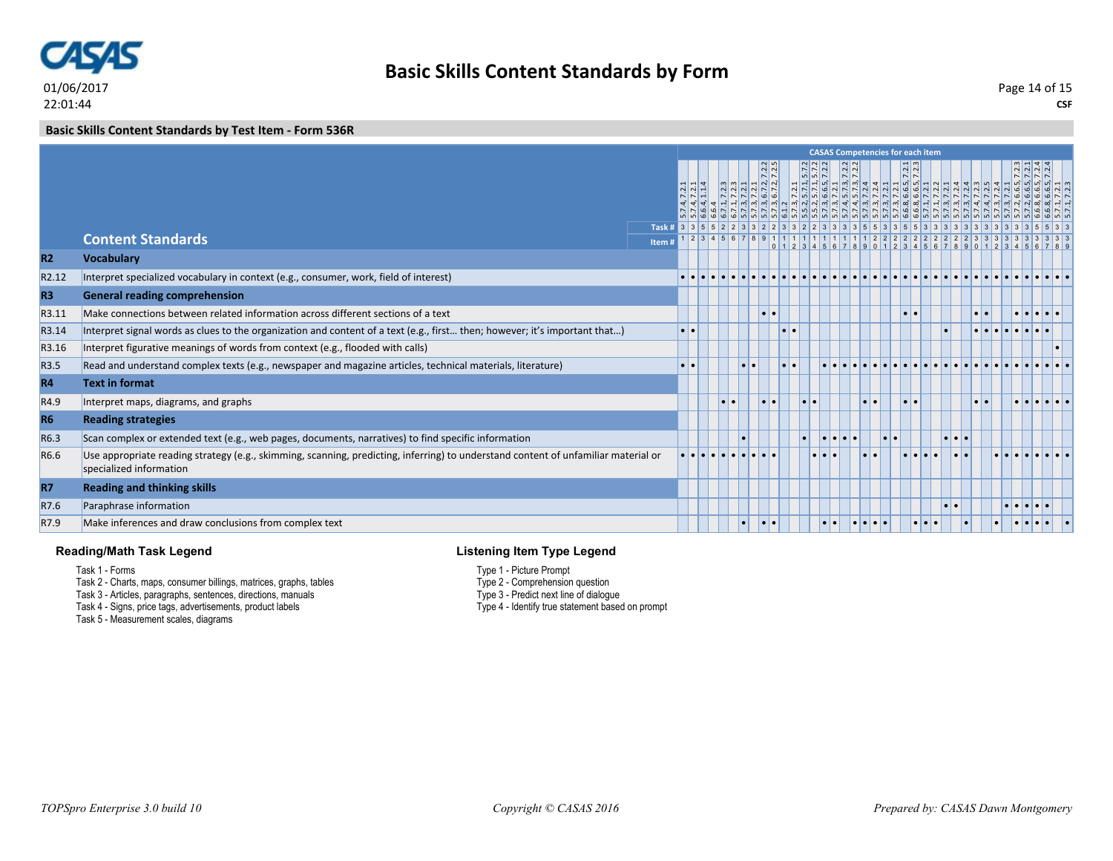

#### **Basic Skills Content Standards by Test Item - Form 536R**

|                |                                                                                                                                                               |        | <b>CASAS Competencies for each item</b> |  |  |                                                                                                                               |                                     |           |                       |                  |  |                               |       |                         |  |                                                                                                                              |                       |                                                                                                                                                                                                                                  |  |
|----------------|---------------------------------------------------------------------------------------------------------------------------------------------------------------|--------|-----------------------------------------|--|--|-------------------------------------------------------------------------------------------------------------------------------|-------------------------------------|-----------|-----------------------|------------------|--|-------------------------------|-------|-------------------------|--|------------------------------------------------------------------------------------------------------------------------------|-----------------------|----------------------------------------------------------------------------------------------------------------------------------------------------------------------------------------------------------------------------------|--|
|                |                                                                                                                                                               |        |                                         |  |  |                                                                                                                               | $\overline{\sim}$<br>$\overline{N}$ |           | $\frac{5.7.2}{5.7.2}$ |                  |  |                               |       |                         |  |                                                                                                                              |                       | $\frac{7.2}{7.2}$<br> n n n n                                                                                                                                                                                                    |  |
|                |                                                                                                                                                               |        |                                         |  |  | $\frac{1}{2}$ $\frac{1}{2}$ $\frac{1}{2}$ $\frac{1}{2}$ $\frac{1}{2}$ $\frac{1}{2}$ $\frac{1}{2}$ $\frac{1}{2}$ $\frac{1}{2}$ |                                     |           |                       |                  |  |                               | 6.6.  |                         |  | $\begin{array}{cccc}\n & 6 & 6 \\  & 6 & 7 & 7 \\  & 7 & 7 & 7 \\  & 8 & 7 & 7 \\  & 9 & 8 & 7 \\  & 1 & 1 & 7\n\end{array}$ |                       |                                                                                                                                                                                                                                  |  |
|                |                                                                                                                                                               |        |                                         |  |  |                                                                                                                               |                                     |           |                       |                  |  |                               |       |                         |  |                                                                                                                              |                       | ان المسلم المسلم المسلم المسلم المسلم المسلم المسلم المسلم المسلم المسلم المسلم المسلم المسلم المسلم المسلم ال<br>المسلم المسلم المسلم المسلم المسلم المسلم المسلم المسلم المسلم المسلم المسلم المسلم المسلم المسلم المسلم المسل |  |
|                |                                                                                                                                                               |        |                                         |  |  | 2345678                                                                                                                       |                                     |           |                       |                  |  | 91111111111111111222222222222 |       |                         |  |                                                                                                                              |                       |                                                                                                                                                                                                                                  |  |
|                | <b>Content Standards</b>                                                                                                                                      | Item # |                                         |  |  |                                                                                                                               |                                     |           |                       |                  |  |                               |       |                         |  |                                                                                                                              |                       |                                                                                                                                                                                                                                  |  |
| <b>R2</b>      | <b>Vocabulary</b>                                                                                                                                             |        |                                         |  |  |                                                                                                                               |                                     |           |                       |                  |  |                               |       |                         |  |                                                                                                                              |                       |                                                                                                                                                                                                                                  |  |
| R2.12          | Interpret specialized vocabulary in context (e.g., consumer, work, field of interest)                                                                         |        |                                         |  |  |                                                                                                                               |                                     |           |                       |                  |  |                               |       |                         |  |                                                                                                                              |                       |                                                                                                                                                                                                                                  |  |
| R <sub>3</sub> | <b>General reading comprehension</b>                                                                                                                          |        |                                         |  |  |                                                                                                                               |                                     |           |                       |                  |  |                               |       |                         |  |                                                                                                                              |                       |                                                                                                                                                                                                                                  |  |
| R3.11          | Make connections between related information across different sections of a text                                                                              |        |                                         |  |  |                                                                                                                               | l o l                               |           |                       |                  |  |                               |       | $\bullet\bullet$        |  |                                                                                                                              | $\bullet\bullet$      | $  \bullet   \bullet  $                                                                                                                                                                                                          |  |
| R3.14          | Interpret signal words as clues to the organization and content of a text (e.g., first then; however; it's important that)                                    |        | $\bullet\bullet$                        |  |  |                                                                                                                               |                                     | $\bullet$ |                       |                  |  |                               |       |                         |  |                                                                                                                              |                       |                                                                                                                                                                                                                                  |  |
| R3.16          | Interpret figurative meanings of words from context (e.g., flooded with calls)                                                                                |        |                                         |  |  |                                                                                                                               |                                     |           |                       |                  |  |                               |       |                         |  |                                                                                                                              |                       |                                                                                                                                                                                                                                  |  |
| R3.5           | Read and understand complex texts (e.g., newspaper and magazine articles, technical materials, literature)                                                    |        |                                         |  |  |                                                                                                                               |                                     |           |                       |                  |  |                               |       |                         |  |                                                                                                                              |                       |                                                                                                                                                                                                                                  |  |
| <b>R4</b>      | <b>Text in format</b>                                                                                                                                         |        |                                         |  |  |                                                                                                                               |                                     |           |                       |                  |  |                               |       |                         |  |                                                                                                                              |                       |                                                                                                                                                                                                                                  |  |
| R4.9           | Interpret maps, diagrams, and graphs                                                                                                                          |        |                                         |  |  |                                                                                                                               |                                     |           | $\bullet$             |                  |  | $\bullet\bullet$              |       | $\bullet$               |  |                                                                                                                              | $  \bullet   \bullet$ |                                                                                                                                                                                                                                  |  |
| <b>R6</b>      | <b>Reading strategies</b>                                                                                                                                     |        |                                         |  |  |                                                                                                                               |                                     |           |                       |                  |  |                               |       |                         |  |                                                                                                                              |                       |                                                                                                                                                                                                                                  |  |
| R6.3           | Scan complex or extended text (e.g., web pages, documents, narratives) to find specific information                                                           |        |                                         |  |  |                                                                                                                               |                                     |           | $\bullet$             | $\bullet\bullet$ |  |                               | ه ا ه |                         |  | .                                                                                                                            |                       |                                                                                                                                                                                                                                  |  |
| R6.6           | Use appropriate reading strategy (e.g., skimming, scanning, predicting, inferring) to understand content of unfamiliar material or<br>specialized information |        |                                         |  |  |                                                                                                                               |                                     |           |                       |                  |  |                               |       |                         |  |                                                                                                                              |                       |                                                                                                                                                                                                                                  |  |
| <b>R7</b>      | <b>Reading and thinking skills</b>                                                                                                                            |        |                                         |  |  |                                                                                                                               |                                     |           |                       |                  |  |                               |       |                         |  |                                                                                                                              |                       |                                                                                                                                                                                                                                  |  |
| R7.6           | Paraphrase information                                                                                                                                        |        |                                         |  |  |                                                                                                                               |                                     |           |                       |                  |  |                               |       |                         |  |                                                                                                                              |                       |                                                                                                                                                                                                                                  |  |
| R7.9           | Make inferences and draw conclusions from complex text                                                                                                        |        |                                         |  |  |                                                                                                                               | l o l                               |           |                       | $\bullet\bullet$ |  |                               |       | $\bullet\bullet\bullet$ |  |                                                                                                                              |                       |                                                                                                                                                                                                                                  |  |

#### **Reading/Math Task Legend**

Task 1 - Forms

- Task 2 Charts, maps, consumer billings, matrices, graphs, tables
- Task 3 Articles, paragraphs, sentences, directions, manuals

Task 4 - Signs, price tags, advertisements, product labels

Task 5 - Measurement scales, diagrams

#### **Listening Item Type Legend**

Type 1 - Picture Prompt

Type 2 - Comprehension question

Type 3 - Predict next line of dialogue

Type 4 - Identify true statement based on prompt